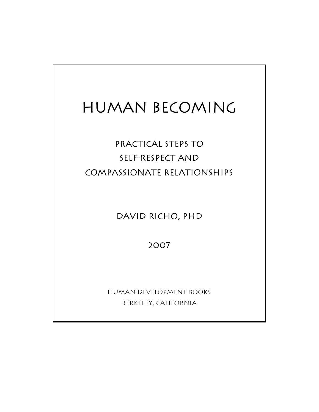# HUMAN BECOMING

# PRACTICAL STEPS TO SELF-RESPECT AND COMPASSIONATE RELATIONSHIPS

David Richo, PhD

2007

Human development books berkeley, california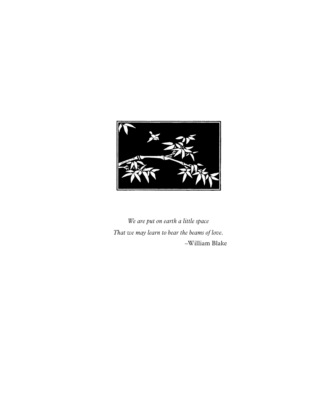

*We are put on earth a little space That we may learn to bear the beams of love.* –William Blake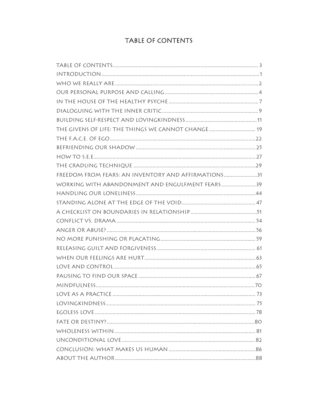# **TABLE OF CONTENTS**

| FREEDOM FROM FEARS: AN INVENTORY AND AFFIRMATIONS31 |  |
|-----------------------------------------------------|--|
| WORKING WITH ABANDONMENT AND ENGULFMENT FEARS39     |  |
|                                                     |  |
|                                                     |  |
|                                                     |  |
|                                                     |  |
|                                                     |  |
|                                                     |  |
|                                                     |  |
|                                                     |  |
|                                                     |  |
|                                                     |  |
|                                                     |  |
|                                                     |  |
|                                                     |  |
|                                                     |  |
|                                                     |  |
|                                                     |  |
|                                                     |  |
|                                                     |  |
|                                                     |  |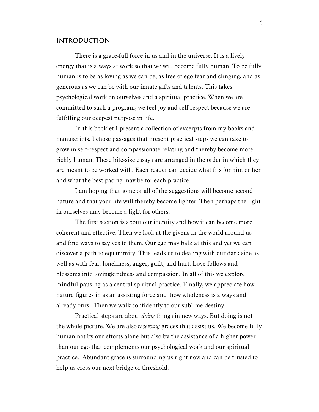#### INTRODUCTION

There is a grace-full force in us and in the universe. It is a lively energy that is always at work so that we will become fully human. To be fully human is to be as loving as we can be, as free of ego fear and clinging, and as generous as we can be with our innate gifts and talents. This takes psychological work on ourselves and a spiritual practice. When we are committed to such a program, we feel joy and self-respect because we are fulfilling our deepest purpose in life.

In this booklet I present a collection of excerpts from my books and manuscripts. I chose passages that present practical steps we can take to grow in self-respect and compassionate relating and thereby become more richly human. These bite-size essays are arranged in the order in which they are meant to be worked with. Each reader can decide what fits for him or her and what the best pacing may be for each practice.

I am hoping that some or all of the suggestions will become second nature and that your life will thereby become lighter. Then perhaps the light in ourselves may become a light for others.

The first section is about our identity and how it can become more coherent and effective. Then we look at the givens in the world around us and find ways to say yes to them. Our ego may balk at this and yet we can discover a path to equanimity. This leads us to dealing with our dark side as well as with fear, loneliness, anger, guilt, and hurt. Love follows and blossoms into lovingkindness and compassion. In all of this we explore mindful pausing as a central spiritual practice. Finally, we appreciate how nature figures in as an assisting force and how wholeness is always and already ours. Then we walk confidently to our sublime destiny.

Practical steps are about *doing* things in new ways. But doing is not the whole picture. We are also *receiving* graces that assist us. We become fully human not by our efforts alone but also by the assistance of a higher power than our ego that complements our psychological work and our spiritual practice. Abundant grace is surrounding us right now and can be trusted to help us cross our next bridge or threshold.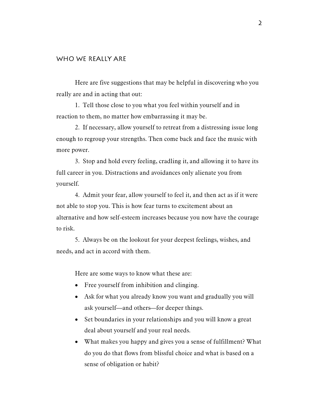# WHO WE REALLY ARE

Here are five suggestions that may be helpful in discovering who you really are and in acting that out:

1. Tell those close to you what you feel within yourself and in reaction to them, no matter how embarrassing it may be.

2. If necessary, allow yourself to retreat from a distressing issue long enough to regroup your strengths. Then come back and face the music with more power.

3. Stop and hold every feeling, cradling it, and allowing it to have its full career in you. Distractions and avoidances only alienate you from yourself.

4. Admit your fear, allow yourself to feel it, and then act as if it were not able to stop you. This is how fear turns to excitement about an alternative and how self-esteem increases because you now have the courage to risk.

5. Always be on the lookout for your deepest feelings, wishes, and needs, and act in accord with them.

Here are some ways to know what these are:

- Free yourself from inhibition and clinging.
- Ask for what you already know you want and gradually you will ask yourself—and others—for deeper things.
- Set boundaries in your relationships and you will know a great deal about yourself and your real needs.
- What makes you happy and gives you a sense of fulfillment? What do you do that flows from blissful choice and what is based on a sense of obligation or habit?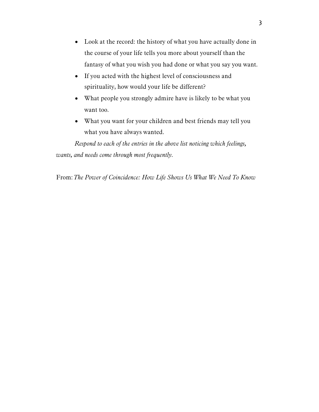- Look at the record: the history of what you have actually done in the course of your life tells you more about yourself than the fantasy of what you wish you had done or what you say you want.
- If you acted with the highest level of consciousness and spirituality, how would your life be different?
- What people you strongly admire have is likely to be what you want too.
- What you want for your children and best friends may tell you what you have always wanted.

*Respond to each of the entries in the above list noticing which feelings, wants, and needs come through most frequently.*

From: *The Power of Coincidence: How Life Shows Us What We Need To Know*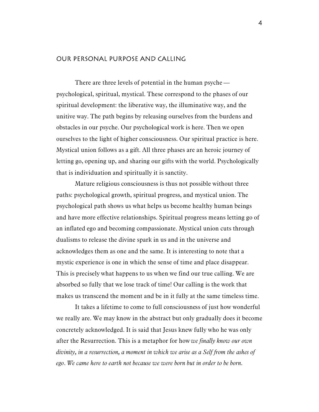## OUR PERSONAL PURPOSE AND CALLING

There are three levels of potential in the human psyche psychological, spiritual, mystical. These correspond to the phases of our spiritual development: the liberative way, the illuminative way, and the unitive way. The path begins by releasing ourselves from the burdens and obstacles in our psyche. Our psychological work is here. Then we open ourselves to the light of higher consciousness. Our spiritual practice is here. Mystical union follows as a gift. All three phases are an heroic journey of letting go, opening up, and sharing our gifts with the world. Psychologically that is individuation and spiritually it is sanctity.

Mature religious consciousness is thus not possible without three paths: psychological growth, spiritual progress, and mystical union. The psychological path shows us what helps us become healthy human beings and have more effective relationships. Spiritual progress means letting go of an inflated ego and becoming compassionate. Mystical union cuts through dualisms to release the divine spark in us and in the universe and acknowledges them as one and the same. It is interesting to note that a mystic experience is one in which the sense of time and place disappear. This is precisely what happens to us when we find our true calling. We are absorbed so fully that we lose track of time! Our calling is the work that makes us transcend the moment and be in it fully at the same timeless time.

It takes a lifetime to come to full consciousness of just how wonderful we really are. We may know in the abstract but only gradually does it become concretely acknowledged. It is said that Jesus knew fully who he was only after the Resurrection. This is a metaphor for how *we finally know our own divinity, in a resurrection, a moment in which we arise as a Self from the ashes of ego*. *We came here to earth not because we were born but in order to be born.*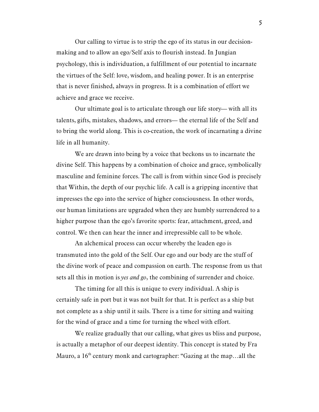Our calling to virtue is to strip the ego of its status in our decisionmaking and to allow an ego/Self axis to flourish instead. In Jungian psychology, this is individuation, a fulfillment of our potential to incarnate the virtues of the Self: love, wisdom, and healing power. It is an enterprise that is never finished, always in progress. It is a combination of effort we achieve and grace we receive.

Our ultimate goal is to articulate through our life story— with all its talents, gifts, mistakes, shadows, and errors— the eternal life of the Self and to bring the world along. This is co-creation, the work of incarnating a divine life in all humanity.

We are drawn into being by a voice that beckons us to incarnate the divine Self. This happens by a combination of choice and grace, symbolically masculine and feminine forces. The call is from within since God is precisely that Within, the depth of our psychic life. A call is a gripping incentive that impresses the ego into the service of higher consciousness. In other words, our human limitations are upgraded when they are humbly surrendered to a higher purpose than the ego's favorite sports: fear, attachment, greed, and control. We then can hear the inner and irrepressible call to be whole.

An alchemical process can occur whereby the leaden ego is transmuted into the gold of the Self. Our ego and our body are the stuff of the divine work of peace and compassion on earth. The response from us that sets all this in motion is *yes and go*, the combining of surrender and choice.

The timing for all this is unique to every individual. A ship is certainly safe in port but it was not built for that. It is perfect as a ship but not complete as a ship until it sails. There is a time for sitting and waiting for the wind of grace and a time for turning the wheel with effort.

We realize gradually that our calling, what gives us bliss and purpose, is actually a metaphor of our deepest identity. This concept is stated by Fra Mauro, a  $16<sup>th</sup>$  century monk and cartographer: "Gazing at the map...all the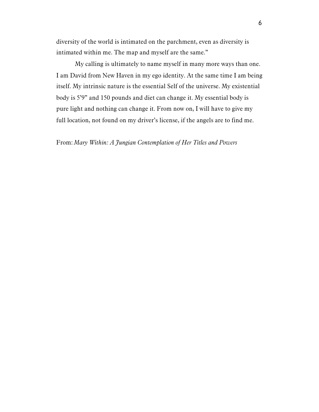diversity of the world is intimated on the parchment, even as diversity is intimated within me. The map and myself are the same."

My calling is ultimately to name myself in many more ways than one. I am David from New Haven in my ego identity. At the same time I am being itself. My intrinsic nature is the essential Self of the universe. My existential body is 5'9" and 150 pounds and diet can change it. My essential body is pure light and nothing can change it. From now on, I will have to give my full location, not found on my driver's license, if the angels are to find me.

From: *Mary Within: A Jungian Contemplation of Her Titles and Powers*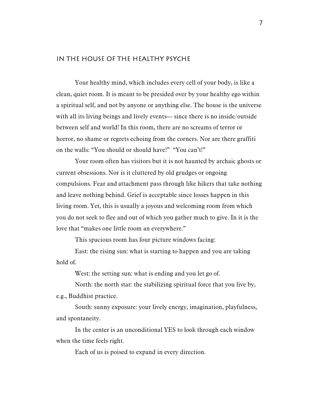# IN THE HOUSE OF THE HEALTHY PSYCHE

Your healthy mind, which includes every cell of your body, is like a clean, quiet room. It is meant to be presided over by your healthy ego within a spiritual self, and not by anyone or anything else. The house is the universe with all its living beings and lively events— since there is no inside/outside between self and world! In this room, there are no screams of terror or horror, no shame or regrets echoing from the corners. Nor are there graffiti on the walls: "You should or should have!" "You can't!"

Your room often has visitors but it is not haunted by archaic ghosts or current obsessions. Nor is it cluttered by old grudges or ongoing compulsions. Fear and attachment pass through like hikers that take nothing and leave nothing behind. Grief is acceptable since losses happen in this living room. Yet, this is usually a joyous and welcoming room from which you do not seek to flee and out of which you gather much to give. In it is the love that "makes one little room an everywhere."

This spacious room has four picture windows facing:

East: the rising sun: what is starting to happen and you are taking hold of.

West: the setting sun: what is ending and you let go of.

North: the north star: the stabilizing spiritual force that you live by, e.g., Buddhist practice.

South: sunny exposure: your lively energy, imagination, playfulness, and spontaneity.

In the center is an unconditional YES to look through each window when the time feels right.

Each of us is poised to expand in every direction.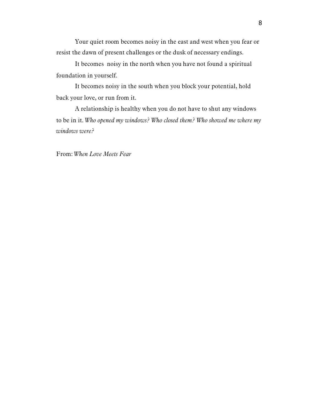Your quiet room becomes noisy in the east and west when you fear or resist the dawn of present challenges or the dusk of necessary endings.

It becomes noisy in the north when you have not found a spiritual foundation in yourself.

It becomes noisy in the south when you block your potential, hold back your love, or run from it.

A relationship is healthy when you do not have to shut any windows to be in it. *Who opened my windows? Who closed them? Who showed me where my windows were?*

From: *When Love Meets Fear*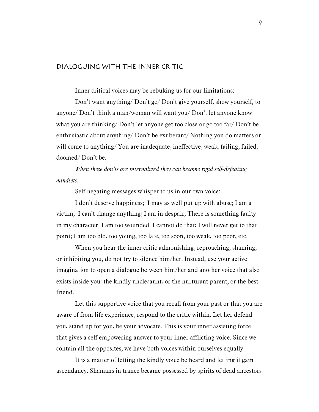#### DIALOGUING WITH THE INNER CRITIC

Inner critical voices may be rebuking us for our limitations:

Don't want anything/ Don't go/ Don't give yourself, show yourself, to anyone/ Don't think a man/woman will want you/ Don't let anyone know what you are thinking/ Don't let anyone get too close or go too far/ Don't be enthusiastic about anything/ Don't be exuberant/ Nothing you do matters or will come to anything/ You are inadequate, ineffective, weak, failing, failed, doomed/ Don't be.

*When these don'ts are internalized they can become rigid self-defeating mindsets.*

Self-negating messages whisper to us in our own voice:

I don't deserve happiness; I may as well put up with abuse; I am a victim; I can't change anything; I am in despair; There is something faulty in my character. I am too wounded. I cannot do that; I will never get to that point; I am too old, too young, too late, too soon, too weak, too poor, etc.

When you hear the inner critic admonishing, reproaching, shaming, or inhibiting you, do not try to silence him/her. Instead, use your active imagination to open a dialogue between him/her and another voice that also exists inside you: the kindly uncle/aunt, or the nurturant parent, or the best friend.

Let this supportive voice that you recall from your past or that you are aware of from life experience, respond to the critic within. Let her defend you, stand up for you, be your advocate. This is your inner assisting force that gives a self-empowering answer to your inner afflicting voice. Since we contain all the opposites, we have both voices within ourselves equally.

It is a matter of letting the kindly voice be heard and letting it gain ascendancy. Shamans in trance became possessed by spirits of dead ancestors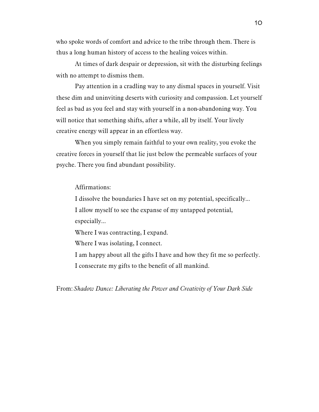who spoke words of comfort and advice to the tribe through them. There is thus a long human history of access to the healing voices within.

At times of dark despair or depression, sit with the disturbing feelings with no attempt to dismiss them.

Pay attention in a cradling way to any dismal spaces in yourself. Visit these dim and uninviting deserts with curiosity and compassion. Let yourself feel as bad as you feel and stay with yourself in a non-abandoning way. You will notice that something shifts, after a while, all by itself. Your lively creative energy will appear in an effortless way.

When you simply remain faithful to your own reality, you evoke the creative forces in yourself that lie just below the permeable surfaces of your psyche. There you find abundant possibility.

Affirmations:

I dissolve the boundaries I have set on my potential, specifically...

I allow myself to see the expanse of my untapped potential,

especially...

Where I was contracting, I expand.

Where I was isolating, I connect.

I am happy about all the gifts I have and how they fit me so perfectly. I consecrate my gifts to the benefit of all mankind.

From: *Shadow Dance: Liberating the Power and Creativity of Your Dark Side*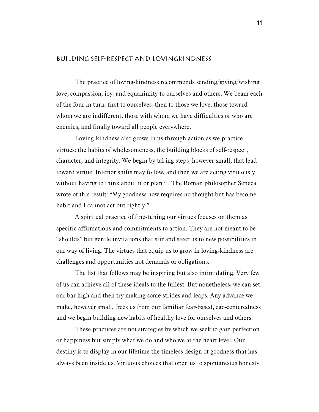# BUILDING SELF-RESPECT AND LOVINGKINDNESS

The practice of loving-kindness recommends sending/giving/wishing love, compassion, joy, and equanimity to ourselves and others. We beam each of the four in turn, first to ourselves, then to those we love, those toward whom we are indifferent, those with whom we have difficulties or who are enemies, and finally toward all people everywhere.

Loving-kindness also grows in us through action as we practice virtues: the habits of wholesomeness, the building blocks of self-respect, character, and integrity. We begin by taking steps, however small, that lead toward virtue. Interior shifts may follow, and then we are acting virtuously without having to think about it or plan it. The Roman philosopher Seneca wrote of this result: "My goodness now requires no thought but has become habit and I cannot act but rightly."

A spiritual practice of fine-tuning our virtues focuses on them as specific affirmations and commitments to action. They are not meant to be "shoulds" but gentle invitations that stir and steer us to new possibilities in our way of living. The virtues that equip us to grow in loving-kindness are challenges and opportunities not demands or obligations.

The list that follows may be inspiring but also intimidating. Very few of us can achieve all of these ideals to the fullest. But nonetheless, we can set our bar high and then try making some strides and leaps. Any advance we make, however small, frees us from our familiar fear-based, ego-centeredness and we begin building new habits of healthy love for ourselves and others.

These practices are not strategies by which we seek to gain perfection or happiness but simply what we do and who we at the heart level. Our destiny is to display in our lifetime the timeless design of goodness that has always been inside us. Virtuous choices that open us to spontaneous honesty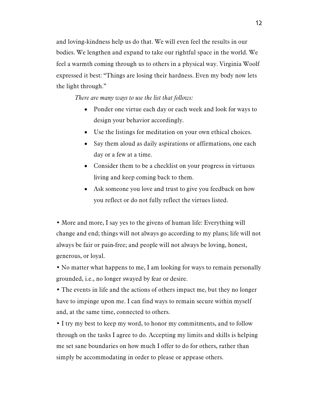and loving-kindness help us do that. We will even feel the results in our bodies. We lengthen and expand to take our rightful space in the world. We feel a warmth coming through us to others in a physical way. Virginia Woolf expressed it best: "Things are losing their hardness. Even my body now lets the light through."

*There are many ways to use the list that follows:*

- Ponder one virtue each day or each week and look for ways to design your behavior accordingly.
- Use the listings for meditation on your own ethical choices.
- Say them aloud as daily aspirations or affirmations, one each day or a few at a time.
- Consider them to be a checklist on your progress in virtuous living and keep coming back to them.
- Ask someone you love and trust to give you feedback on how you reflect or do not fully reflect the virtues listed.

• More and more, I say yes to the givens of human life: Everything will change and end; things will not always go according to my plans; life will not always be fair or pain-free; and people will not always be loving, honest, generous, or loyal.

• No matter what happens to me, I am looking for ways to remain personally grounded, i.e., no longer swayed by fear or desire.

• The events in life and the actions of others impact me, but they no longer have to impinge upon me. I can find ways to remain secure within myself and, at the same time, connected to others.

• I try my best to keep my word, to honor my commitments, and to follow through on the tasks I agree to do. Accepting my limits and skills is helping me set sane boundaries on how much I offer to do for others, rather than simply be accommodating in order to please or appease others.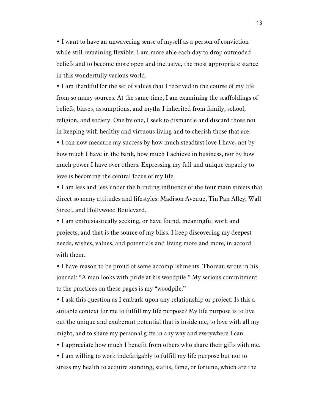• I want to have an unwavering sense of myself as a person of conviction while still remaining flexible. I am more able each day to drop outmoded beliefs and to become more open and inclusive, the most appropriate stance in this wonderfully various world.

• I am thankful for the set of values that I received in the course of my life from so many sources. At the same time, I am examining the scaffoldings of beliefs, biases, assumptions, and myths I inherited from family, school, religion, and society. One by one, I seek to dismantle and discard those not in keeping with healthy and virtuous living and to cherish those that are.

• I can now measure my success by how much steadfast love I have, not by how much I have in the bank, how much I achieve in business, nor by how much power I have over others. Expressing my full and unique capacity to love is becoming the central focus of my life.

• I am less and less under the blinding influence of the four main streets that direct so many attitudes and lifestyles: Madison Avenue, Tin Pan Alley, Wall Street, and Hollywood Boulevard.

• I am enthusiastically seeking, or have found, meaningful work and projects, and that is the source of my bliss. I keep discovering my deepest needs, wishes, values, and potentials and living more and more, in accord with them.

• I have reason to be proud of some accomplishments. Thoreau wrote in his journal: "A man looks with pride at his woodpile." My serious commitment to the practices on these pages is my "woodpile."

• I ask this question as I embark upon any relationship or project: Is this a suitable context for me to fulfill my life purpose? My life purpose is to live out the unique and exuberant potential that is inside me, to love with all my might, and to share my personal gifts in any way and everywhere I can.

• I appreciate how much I benefit from others who share their gifts with me.

• I am willing to work indefatigably to fulfill my life purpose but not to stress my health to acquire standing, status, fame, or fortune, which are the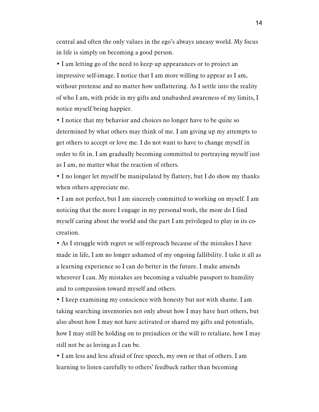central and often the only values in the ego's always uneasy world. My focus in life is simply on becoming a good person.

• I am letting go of the need to keep up appearances or to project an impressive self-image. I notice that I am more willing to appear as I am, without pretense and no matter how unflattering. As I settle into the reality of who I am, with pride in my gifts and unabashed awareness of my limits, I notice myself being happier.

• I notice that my behavior and choices no longer have to be quite so determined by what others may think of me. I am giving up my attempts to get others to accept or love me. I do not want to have to change myself in order to fit in. I am gradually becoming committed to portraying myself just as I am, no matter what the reaction of others.

• I no longer let myself be manipulated by flattery, but I do show my thanks when others appreciate me.

• I am not perfect, but I am sincerely committed to working on myself. I am noticing that the more I engage in my personal work, the more do I find myself caring about the world and the part I am privileged to play in its cocreation.

• As I struggle with regret or self-reproach because of the mistakes I have made in life, I am no longer ashamed of my ongoing fallibility. I take it all as a learning experience so I can do better in the future. I make amends wherever I can. My mistakes are becoming a valuable passport to humility and to compassion toward myself and others.

• I keep examining my conscience with honesty but not with shame. I am taking searching inventories not only about how I may have hurt others, but also about how I may not have activated or shared my gifts and potentials, how I may still be holding on to prejudices or the will to retaliate, how I may still not be as loving as I can be.

• I am less and less afraid of free speech, my own or that of others. I am learning to listen carefully to others' feedback rather than becoming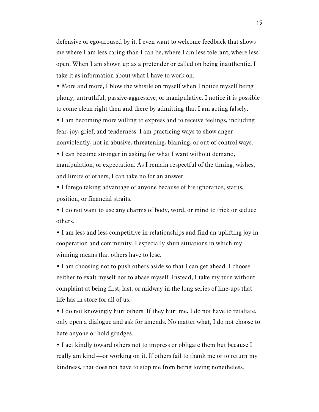defensive or ego-aroused by it. I even want to welcome feedback that shows me where I am less caring than I can be, where I am less tolerant, where less open. When I am shown up as a pretender or called on being inauthentic, I take it as information about what I have to work on.

• More and more, I blow the whistle on myself when I notice myself being phony, untruthful, passive-aggressive, or manipulative. I notice it is possible to come clean right then and there by admitting that I am acting falsely.

• I am becoming more willing to express and to receive feelings, including fear, joy, grief, and tenderness. I am practicing ways to show anger nonviolently, not in abusive, threatening, blaming, or out-of-control ways.

• I can become stronger in asking for what I want without demand, manipulation, or expectation. As I remain respectful of the timing, wishes, and limits of others, I can take no for an answer.

• I forego taking advantage of anyone because of his ignorance, status, position, or financial straits.

• I do not want to use any charms of body, word, or mind to trick or seduce others.

• I am less and less competitive in relationships and find an uplifting joy in cooperation and community. I especially shun situations in which my winning means that others have to lose.

• I am choosing not to push others aside so that I can get ahead. I choose neither to exalt myself nor to abase myself. Instead, I take my turn without complaint at being first, last, or midway in the long series of line-ups that life has in store for all of us.

• I do not knowingly hurt others. If they hurt me, I do not have to retaliate, only open a dialogue and ask for amends. No matter what, I do not choose to hate anyone or hold grudges.

• I act kindly toward others not to impress or obligate them but because I really am kind —or working on it. If others fail to thank me or to return my kindness, that does not have to stop me from being loving nonetheless.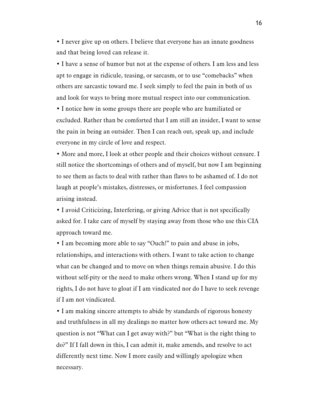• I never give up on others. I believe that everyone has an innate goodness and that being loved can release it.

• I have a sense of humor but not at the expense of others. I am less and less apt to engage in ridicule, teasing, or sarcasm, or to use "comebacks" when others are sarcastic toward me. I seek simply to feel the pain in both of us and look for ways to bring more mutual respect into our communication.

• I notice how in some groups there are people who are humiliated or excluded. Rather than be comforted that I am still an insider, I want to sense the pain in being an outsider. Then I can reach out, speak up, and include everyone in my circle of love and respect.

• More and more, I look at other people and their choices without censure. I still notice the shortcomings of others and of myself, but now I am beginning to see them as facts to deal with rather than flaws to be ashamed of. I do not laugh at people's mistakes, distresses, or misfortunes. I feel compassion arising instead.

• I avoid Criticizing, Interfering, or giving Advice that is not specifically asked for. I take care of myself by staying away from those who use this CIA approach toward me.

• I am becoming more able to say "Ouch!" to pain and abuse in jobs, relationships, and interactions with others. I want to take action to change what can be changed and to move on when things remain abusive. I do this without self-pity or the need to make others wrong. When I stand up for my rights, I do not have to gloat if I am vindicated nor do I have to seek revenge if I am not vindicated.

• I am making sincere attempts to abide by standards of rigorous honesty and truthfulness in all my dealings no matter how others act toward me. My question is not "What can I get away with?" but "What is the right thing to do?" If I fall down in this, I can admit it, make amends, and resolve to act differently next time. Now I more easily and willingly apologize when necessary.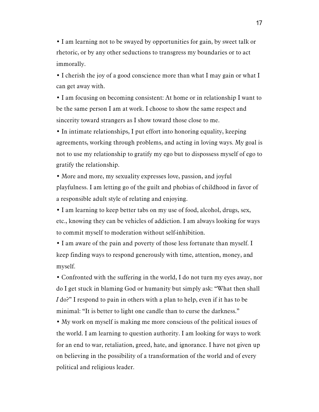• I am learning not to be swayed by opportunities for gain, by sweet talk or rhetoric, or by any other seductions to transgress my boundaries or to act immorally.

• I cherish the joy of a good conscience more than what I may gain or what I can get away with.

• I am focusing on becoming consistent: At home or in relationship I want to be the same person I am at work. I choose to show the same respect and sincerity toward strangers as I show toward those close to me.

• In intimate relationships, I put effort into honoring equality, keeping agreements, working through problems, and acting in loving ways. My goal is not to use my relationship to gratify my ego but to dispossess myself of ego to gratify the relationship.

• More and more, my sexuality expresses love, passion, and joyful playfulness. I am letting go of the guilt and phobias of childhood in favor of a responsible adult style of relating and enjoying.

• I am learning to keep better tabs on my use of food, alcohol, drugs, sex, etc., knowing they can be vehicles of addiction. I am always looking for ways to commit myself to moderation without self-inhibition.

• I am aware of the pain and poverty of those less fortunate than myself. I keep finding ways to respond generously with time, attention, money, and myself.

• Confronted with the suffering in the world, I do not turn my eyes away, nor do I get stuck in blaming God or humanity but simply ask: "What then shall *I* do?" I respond to pain in others with a plan to help, even if it has to be minimal: "It is better to light one candle than to curse the darkness."

• My work on myself is making me more conscious of the political issues of the world. I am learning to question authority. I am looking for ways to work for an end to war, retaliation, greed, hate, and ignorance. I have not given up on believing in the possibility of a transformation of the world and of every political and religious leader.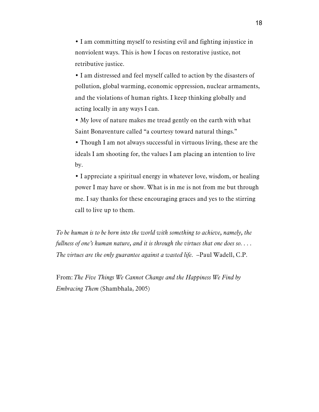• I am committing myself to resisting evil and fighting injustice in nonviolent ways. This is how I focus on restorative justice, not retributive justice.

• I am distressed and feel myself called to action by the disasters of pollution, global warming, economic oppression, nuclear armaments, and the violations of human rights. I keep thinking globally and acting locally in any ways I can.

• My love of nature makes me tread gently on the earth with what Saint Bonaventure called "a courtesy toward natural things."

• Though I am not always successful in virtuous living, these are the ideals I am shooting for, the values I am placing an intention to live by.

• I appreciate a spiritual energy in whatever love, wisdom, or healing power I may have or show. What is in me is not from me but through me. I say thanks for these encouraging graces and yes to the stirring call to live up to them.

*To be human is to be born into the world with something to achieve, namely, the fullness of one's human nature, and it is through the virtues that one does so. . . . The virtues are the only guarantee against a wasted life.* –Paul Wadell, C.P.

From: *The Five Things We Cannot Change and the Happiness We Find by Embracing Them* (Shambhala, 2005)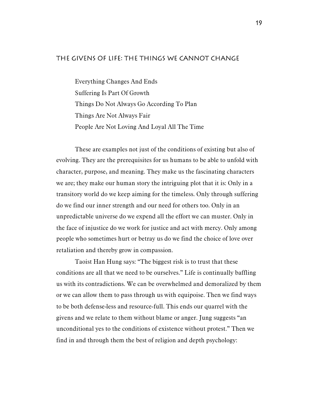### THE GIVENS OF LIFE: THE THINGS WE CANNOT CHANGE

Everything Changes And Ends Suffering Is Part Of Growth Things Do Not Always Go According To Plan Things Are Not Always Fair People Are Not Loving And Loyal All The Time

These are examples not just of the conditions of existing but also of evolving. They are the prerequisites for us humans to be able to unfold with character, purpose, and meaning. They make us the fascinating characters we are; they make our human story the intriguing plot that it is: Only in a transitory world do we keep aiming for the timeless. Only through suffering do we find our inner strength and our need for others too. Only in an unpredictable universe do we expend all the effort we can muster. Only in the face of injustice do we work for justice and act with mercy. Only among people who sometimes hurt or betray us do we find the choice of love over retaliation and thereby grow in compassion.

Taoist Han Hung says: "The biggest risk is to trust that these conditions are all that we need to be ourselves." Life is continually baffling us with its contradictions. We can be overwhelmed and demoralized by them or we can allow them to pass through us with equipoise. Then we find ways to be both defense-less and resource-full. This ends our quarrel with the givens and we relate to them without blame or anger. Jung suggests "an unconditional yes to the conditions of existence without protest." Then we find in and through them the best of religion and depth psychology: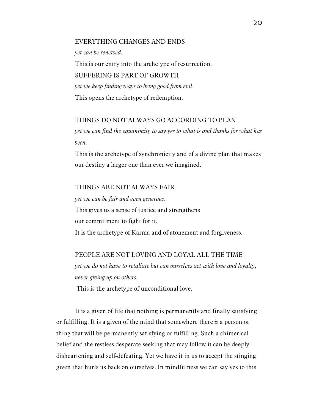#### EVERYTHING CHANGES AND ENDS

*yet can be renewed*.

This is our entry into the archetype of resurrection. SUFFERING IS PART OF GROWTH *yet we keep finding ways to bring good from evil*. This opens the archetype of redemption.

#### THINGS DO NOT ALWAYS GO ACCORDING TO PLAN

*yet we can find the equanimity to say yes to what is and thanks for what has been.*

This is the archetype of synchronicity and of a divine plan that makes our destiny a larger one than ever we imagined.

#### THINGS ARE NOT ALWAYS FAIR

*yet we can be fair and even generous*. This gives us a sense of justice and strengthens our commitment to fight for it. It is the archetype of Karma and of atonement and forgiveness.

#### PEOPLE ARE NOT LOVING AND LOYAL ALL THE TIME

*yet we do not have to retaliate but can ourselves act with love and loyalty, never giving up on others.*

This is the archetype of unconditional love.

It is a given of life that nothing is permanently and finally satisfying or fulfilling. It is a given of the mind that somewhere there *is* a person or thing that will be permanently satisfying or fulfilling. Such a chimerical belief and the restless desperate seeking that may follow it can be deeply disheartening and self-defeating. Yet we have it in us to accept the stinging given that hurls us back on ourselves. In mindfulness we can say yes to this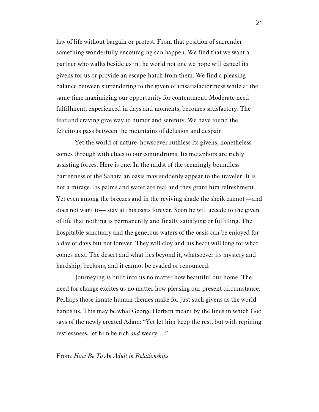law of life without bargain or protest. From that position of surrender something wonderfully encouraging can happen. We find that we want a partner who walks beside us in the world not one we hope will cancel its givens for us or provide an escape-hatch from them. We find a pleasing balance between surrendering to the given of unsatisfactoriness while at the same time maximizing our opportunity for contentment. Moderate need fulfillment, experienced in days and moments, becomes satisfactory. The fear and craving give way to humor and serenity. We have found the felicitous pass between the mountains of delusion and despair.

Yet the world of nature, howsoever ruthless its givens, nonetheless comes through with clues to our conundrums. Its metaphors are richly assisting forces. Here is one: In the midst of the seemingly boundless barrenness of the Sahara an oasis may suddenly appear to the traveler. It is not a mirage. Its palms and water are real and they grant him refreshment. Yet even among the breezes and in the reviving shade the sheik cannot —and does not want to— stay at this oasis forever. Soon he will accede to the given of life that nothing is permanently and finally satisfying or fulfilling. The hospitable sanctuary and the generous waters of the oasis can be enjoyed for a day or days but not forever. They will cloy and his heart will long for what comes next. The desert and what lies beyond it, whatsoever its mystery and hardship, beckons, and it cannot be evaded or renounced.

Journeying is built into us no matter how beautiful our home. The need for change excites us no matter how pleasing our present circumstance. Perhaps those innate human themes make for just such givens as the world hands us. This may be what George Herbert meant by the lines in which God says of the newly created Adam: "Yet let him keep the rest, but with repining restlessness, let him be rich *and* weary…."

#### From: *How Be To An Adult in Relationships*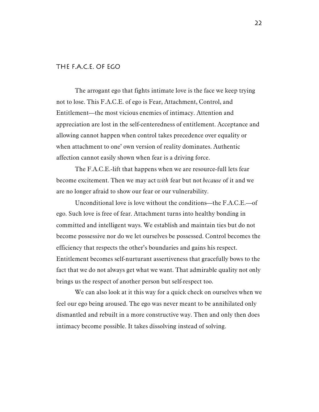#### THE F.A.C.E. OF EGO

The arrogant ego that fights intimate love is the face we keep trying not to lose. This F.A.C.E. of ego is Fear, Attachment, Control, and Entitlement—the most vicious enemies of intimacy. Attention and appreciation are lost in the self-centeredness of entitlement. Acceptance and allowing cannot happen when control takes precedence over equality or when attachment to one' own version of reality dominates. Authentic affection cannot easily shown when fear is a driving force.

The F.A.C.E.-lift that happens when we are resource-full lets fear become excitement. Then we may act *with* fear but not *because* of it and we are no longer afraid to show our fear or our vulnerability.

Unconditional love is love without the conditions—the F.A.C.E.—of ego. Such love is free of fear. Attachment turns into healthy bonding in committed and intelligent ways. We establish and maintain ties but do not become possessive nor do we let ourselves be possessed. Control becomes the efficiency that respects the other's boundaries and gains his respect. Entitlement becomes self-nurturant assertiveness that gracefully bows to the fact that we do not always get what we want. That admirable quality not only brings us the respect of another person but self-respect too.

We can also look at it this way for a quick check on ourselves when we feel our ego being aroused. The ego was never meant to be annihilated only dismantled and rebuilt in a more constructive way. Then and only then does intimacy become possible. It takes dissolving instead of solving.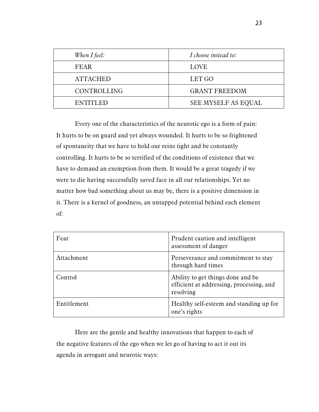| When $I$ feel:  | <i>I</i> choose instead to: |
|-----------------|-----------------------------|
| <b>FEAR</b>     | LOVE                        |
| <b>ATTACHED</b> | LET GO                      |
| CONTROLLING     | <b>GRANT FREEDOM</b>        |
| <b>ENTITLED</b> | SEE MYSELF AS EQUAL         |

Every one of the characteristics of the neurotic ego is a form of pain: It hurts to be on guard and yet always wounded. It hurts to be so frightened of spontaneity that we have to hold our reins tight and be constantly controlling. It hurts to be so terrified of the conditions of existence that we have to demand an exemption from them. It would be a great tragedy if we were to die having successfully saved face in all our relationships. Yet no matter how bad something about us may be, there is a positive dimension in it. There is a kernel of goodness, an untapped potential behind each element of:

| Fear        | Prudent caution and intelligent<br>assessment of danger                                    |
|-------------|--------------------------------------------------------------------------------------------|
| Attachment  | Perseverance and commitment to stay<br>through hard times                                  |
| Control     | Ability to get things done and be<br>efficient at addressing, processing, and<br>resolving |
| Entitlement | Healthy self-esteem and standing up for<br>one's rights                                    |

Here are the gentle and healthy innovations that happen to each of the negative features of the ego when we let go of having to act it out its agenda in arrogant and neurotic ways: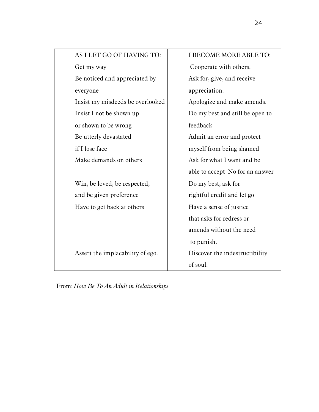| AS I LET GO OF HAVING TO:        | I BECOME MORE ABLE TO:          |  |
|----------------------------------|---------------------------------|--|
| Get my way                       | Cooperate with others.          |  |
| Be noticed and appreciated by    | Ask for, give, and receive      |  |
| everyone                         | appreciation.                   |  |
| Insist my misdeeds be overlooked | Apologize and make amends.      |  |
| Insist I not be shown up         | Do my best and still be open to |  |
| or shown to be wrong             | feedback                        |  |
| Be utterly devastated            | Admit an error and protect      |  |
| if I lose face                   | myself from being shamed        |  |
| Make demands on others           | Ask for what I want and be      |  |
|                                  | able to accept No for an answer |  |
| Win, be loved, be respected,     | Do my best, ask for             |  |
| and be given preference          | rightful credit and let go      |  |
| Have to get back at others       | Have a sense of justice         |  |
|                                  | that asks for redress or        |  |
|                                  | amends without the need         |  |
|                                  | to punish.                      |  |
| Assert the implacability of ego. | Discover the indestructibility  |  |
|                                  | of soul.                        |  |

From: *How Be To An Adult in Relationships*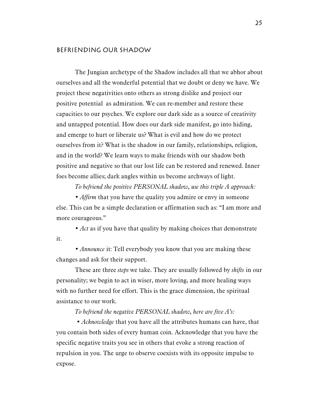#### Befriending OUR Shadow

The Jungian archetype of the Shadow includes all that we abhor about ourselves and all the wonderful potential that we doubt or deny we have. We project these negativities onto others as strong dislike and project our positive potential as admiration. We can re-member and restore these capacities to our psyches. We explore our dark side as a source of creativity and untapped potential. How does our dark side manifest, go into hiding, and emerge to hurt or liberate us? What is evil and how do we protect ourselves from it? What is the shadow in our family, relationships, religion, and in the world? We learn ways to make friends with our shadow both positive and negative so that our lost life can be restored and renewed. Inner foes become allies; dark angles within us become archways of light.

*To befriend the positive PERSONAL shadow, use this triple A approach:*

• *Affirm* that you have the quality you admire or envy in someone else. This can be a simple declaration or affirmation such as: "I am more and more courageous."

• *Act* as if you have that quality by making choices that demonstrate it.

• *Announce* it: Tell everybody you know that you are making these changes and ask for their support.

These are three *steps* we take. They are usually followed by *shifts* in our personality; we begin to act in wiser, more loving, and more healing ways with no further need for effort. This is the grace dimension, the spiritual assistance to our work.

#### *To befriend the negative PERSONAL shadow, here are five A's:*

• *Acknowledge* that you have all the attributes humans can have, that you contain both sides of every human coin. Acknowledge that you have the specific negative traits you see in others that evoke a strong reaction of repulsion in you. The urge to observe coexists with its opposite impulse to expose.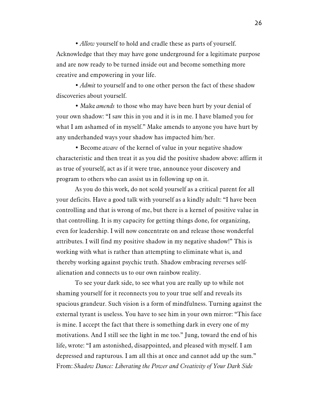• *Allow* yourself to hold and cradle these as parts of yourself. Acknowledge that they may have gone underground for a legitimate purpose and are now ready to be turned inside out and become something more creative and empowering in your life.

• *Admit* to yourself and to one other person the fact of these shadow discoveries about yourself.

• Make *amends* to those who may have been hurt by your denial of your own shadow: "I saw this in you and it is in me. I have blamed you for what I am ashamed of in myself." Make amends to anyone you have hurt by any underhanded ways your shadow has impacted him/her.

• Become *aware* of the kernel of value in your negative shadow characteristic and then treat it as you did the positive shadow above: affirm it as true of yourself, act as if it were true, announce your discovery and program to others who can assist us in following up on it.

As you do this work, do not scold yourself as a critical parent for all your deficits. Have a good talk with yourself as a kindly adult: "I have been controlling and that is wrong of me, but there is a kernel of positive value in that controlling. It is my capacity for getting things done, for organizing, even for leadership. I will now concentrate on and release those wonderful attributes. I will find my positive shadow in my negative shadow!" This is working with what is rather than attempting to eliminate what is, and thereby working against psychic truth. Shadow embracing reverses selfalienation and connects us to our own rainbow reality.

To see your dark side, to see what you are really up to while not shaming yourself for it reconnects you to your true self and reveals its spacious grandeur. Such vision is a form of mindfulness. Turning against the external tyrant is useless. You have to see him in your own mirror: "This face is mine. I accept the fact that there is something dark in every one of my motivations. And I still see the light in me too." Jung, toward the end of his life, wrote: "I am astonished, disappointed, and pleased with myself. I am depressed and rapturous. I am all this at once and cannot add up the sum." From: *Shadow Dance: Liberating the Power and Creativity of Your Dark Side*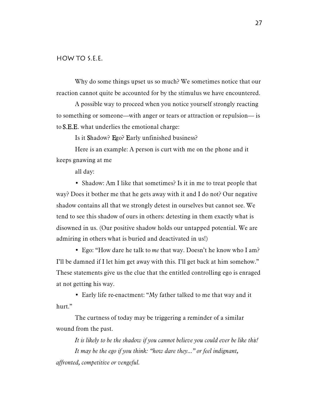#### HOW TO S.E.E.

Why do some things upset us so much? We sometimes notice that our reaction cannot quite be accounted for by the stimulus we have encountered.

A possible way to proceed when you notice yourself strongly reacting to something or someone—with anger or tears or attraction or repulsion— is to S.E.E. what underlies the emotional charge:

Is it Shadow? Ego? Early unfinished business?

Here is an example: A person is curt with me on the phone and it keeps gnawing at me

all day:

• Shadow: Am I like that sometimes? Is it in me to treat people that way? Does it bother me that he gets away with it and I do not? Our negative shadow contains all that we strongly detest in ourselves but cannot see. We tend to see this shadow of ours in others: detesting in them exactly what is disowned in us. (Our positive shadow holds our untapped potential. We are admiring in others what is buried and deactivated in us!)

• Ego: "How dare he talk to *me* that way. Doesn't he know who I am? I'll be damned if I let him get away with this. I'll get back at him somehow." These statements give us the clue that the entitled controlling ego is enraged at not getting his way.

• Early life re-enactment: "My father talked to me that way and it hurt."

The curtness of today may be triggering a reminder of a similar wound from the past.

*It is likely to be the shadow if you cannot believe you could ever be like this! It may be the ego if you think: "how dare they..." or feel indignant, affronted, competitive or vengeful.*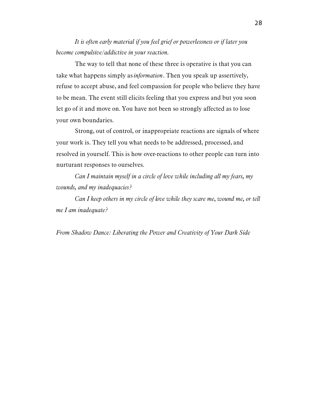*It is often early material if you feel grief or powerlessness or if later you become compulsive/addictive in your reaction.*

The way to tell that none of these three is operative is that you can take what happens simply as*information*. Then you speak up assertively, refuse to accept abuse, and feel compassion for people who believe they have to be mean. The event still elicits feeling that you express and but you soon let go of it and move on. You have not been so strongly affected as to lose your own boundaries.

Strong, out of control, or inappropriate reactions are signals of where your work is. They tell you what needs to be addressed, processed, and resolved in yourself. This is how over-reactions to other people can turn into nurturant responses to ourselves.

*Can I maintain myself in a circle of love while including all my fears, my wounds, and my inadequacies?*

*Can I keep others in my circle of love while they scare me, wound me, or tell me I am inadequate?*

*From Shadow Dance: Liberating the Power and Creativity of Your Dark Side*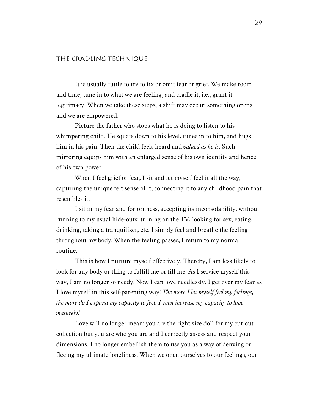# THE CRADLING TECHNIQUE

It is usually futile to try to fix or omit fear or grief. We make room and time, tune in to what we are feeling, and cradle it, i.e., grant it legitimacy. When we take these steps, a shift may occur: something opens and we are empowered.

Picture the father who stops what he is doing to listen to his whimpering child. He squats down to his level, tunes in to him, and hugs him in his pain. Then the child feels heard and *valued as he is*. Such mirroring equips him with an enlarged sense of his own identity and hence of his own power.

When I feel grief or fear, I sit and let myself feel it all the way, capturing the unique felt sense of it, connecting it to any childhood pain that resembles it.

I sit in my fear and forlornness, accepting its inconsolability, without running to my usual hide-outs: turning on the TV, looking for sex, eating, drinking, taking a tranquilizer, etc. I simply feel and breathe the feeling throughout my body. When the feeling passes, I return to my normal routine.

This is how I nurture myself effectively. Thereby, I am less likely to look for any body or thing to fulfill me or fill me. As I service myself this way, I am no longer so needy. Now I can love needlessly. I get over my fear as I love myself in this self-parenting way! *The more I let myself feel my feelings, the more do I expand my capacity to feel. I even increase my capacity to love maturely!*

Love will no longer mean: you are the right size doll for my cut-out collection but you are who you are and I correctly assess and respect your dimensions. I no longer embellish them to use you as a way of denying or fleeing my ultimate loneliness. When we open ourselves to our feelings, our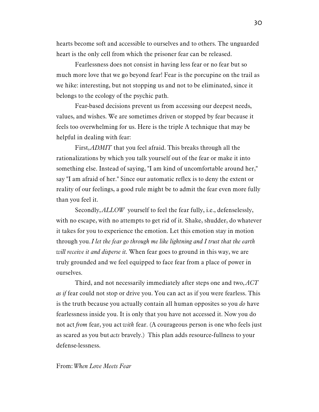hearts become soft and accessible to ourselves and to others. The unguarded heart is the only cell from which the prisoner fear can be released.

Fearlessness does not consist in having less fear or no fear but so much more love that we go beyond fear! Fear is the porcupine on the trail as we hike: interesting, but not stopping us and not to be eliminated, since it belongs to the ecology of the psychic path.

Fear-based decisions prevent us from accessing our deepest needs, values, and wishes. We are sometimes driven or stopped by fear because it feels too overwhelming for us. Here is the triple A technique that may be helpful in dealing with fear:

First, *ADMIT* that you feel afraid. This breaks through all the rationalizations by which you talk yourself out of the fear or make it into something else. Instead of saying, "I am kind of uncomfortable around her," say "I am afraid of her." Since our automatic reflex is to deny the extent or reality of our feelings, a good rule might be to admit the fear even more fully than you feel it.

Secondly, *ALLOW* yourself to feel the fear fully, i.e., defenselessly, with no escape, with no attempts to get rid of it. Shake, shudder, do whatever it takes for you to experience the emotion. Let this emotion stay in motion through you.*I let the fear go through me like lightning and I trust that the earth will receive it and disperse it.* When fear goes to ground in this way, we are truly grounded and we feel equipped to face fear from a place of power in ourselves.

Third, and not necessarily immediately after steps one and two, *ACT as if* fear could not stop or drive you. You can act as if you were fearless. This is the truth because you actually contain all human opposites so you *do* have fearlessness inside you. It is only that you have not accessed it. Now you do not act *from* fear, you act *with* fear. (A courageous person is one who feels just as scared as you but *acts* bravely.) This plan adds resource-fullness to your defense-lessness.

#### From: *When Love Meets Fear*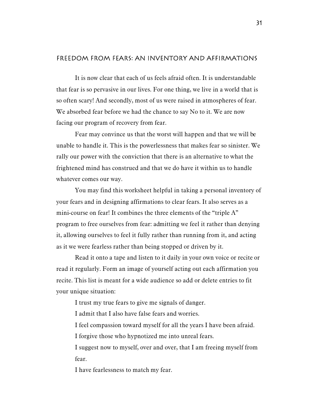#### FREEDOM FROM FEARS: AN INVENTORY AND AFFIRMATIONS

It is now clear that each of us feels afraid often. It is understandable that fear is so pervasive in our lives. For one thing, we live in a world that is so often scary! And secondly, most of us were raised in atmospheres of fear. We absorbed fear before we had the chance to say No to it. We are now facing our program of recovery from fear.

Fear may convince us that the worst will happen and that we will be unable to handle it. This is the powerlessness that makes fear so sinister. We rally our power with the conviction that there is an alternative to what the frightened mind has construed and that we do have it within us to handle whatever comes our way.

You may find this worksheet helpful in taking a personal inventory of your fears and in designing affirmations to clear fears. It also serves as a mini-course on fear! It combines the three elements of the "triple A" program to free ourselves from fear: admitting we feel it rather than denying it, allowing ourselves to feel it fully rather than running from it, and acting as it we were fearless rather than being stopped or driven by it.

Read it onto a tape and listen to it daily in your own voice or recite or read it regularly. Form an image of yourself acting out each affirmation you recite. This list is meant for a wide audience so add or delete entries to fit your unique situation:

I trust my true fears to give me signals of danger.

I admit that I also have false fears and worries.

I feel compassion toward myself for all the years I have been afraid.

I forgive those who hypnotized me into unreal fears.

I suggest now to myself, over and over, that I am freeing myself from fear.

I have fearlessness to match my fear.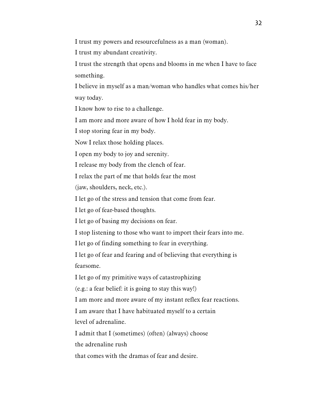I trust my powers and resourcefulness as a man (woman).

I trust my abundant creativity.

I trust the strength that opens and blooms in me when I have to face something.

I believe in myself as a man/woman who handles what comes his/her way today.

I know how to rise to a challenge.

I am more and more aware of how I hold fear in my body.

I stop storing fear in my body.

Now I relax those holding places.

I open my body to joy and serenity.

I release my body from the clench of fear.

I relax the part of me that holds fear the most

(jaw, shoulders, neck, etc.).

I let go of the stress and tension that come from fear.

I let go of fear-based thoughts.

I let go of basing my decisions on fear.

I stop listening to those who want to import their fears into me.

I let go of finding something to fear in everything.

I let go of fear and fearing and of believing that everything is fearsome.

I let go of my primitive ways of catastrophizing

(e.g.: a fear belief: it is going to stay this way!)

I am more and more aware of my instant reflex fear reactions.

I am aware that I have habituated myself to a certain

level of adrenaline.

I admit that I (sometimes) (often) (always) choose

the adrenaline rush

that comes with the dramas of fear and desire.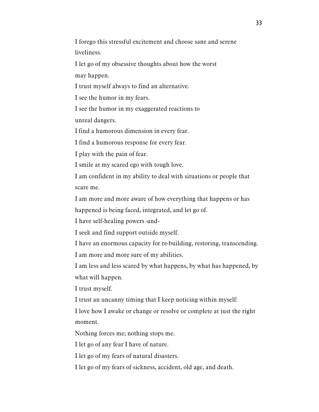I forego this stressful excitement and choose sane and serene liveliness.

I let go of my obsessive thoughts about how the worst

may happen.

I trust myself always to find an alternative.

I see the humor in my fears.

I see the humor in my exaggerated reactions to

unreal dangers.

I find a humorous dimension in every fear.

I find a humorous response for every fear.

I play with the pain of fear.

I smile at my scared ego with tough love.

I am confident in my ability to deal with situations or people that scare me.

I am more and more aware of how everything that happens or has

happened is being faced, integrated, and let go of.

I have self-healing powers -and-

I seek and find support outside myself.

I have an enormous capacity for re-building, restoring, transcending.

I am more and more sure of my abilities.

I am less and less scared by what happens, by what has happened, by what will happen.

I trust myself.

I trust an uncanny timing that I keep noticing within myself:

I love how I awake or change or resolve or complete at just the right moment.

Nothing forces me; nothing stops me.

I let go of any fear I have of nature.

I let go of my fears of natural disasters.

I let go of my fears of sickness, accident, old age, and death.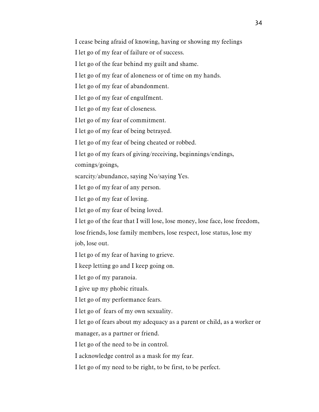I cease being afraid of knowing, having or showing my feelings I let go of my fear of failure or of success.

I let go of the fear behind my guilt and shame.

I let go of my fear of aloneness or of time on my hands.

I let go of my fear of abandonment.

I let go of my fear of engulfment.

I let go of my fear of closeness.

I let go of my fear of commitment.

I let go of my fear of being betrayed.

I let go of my fear of being cheated or robbed.

I let go of my fears of giving/receiving, beginnings/endings,

comings/goings,

scarcity/abundance, saying No/saying Yes.

I let go of my fear of any person.

I let go of my fear of loving.

I let go of my fear of being loved.

I let go of the fear that I will lose, lose money, lose face, lose freedom,

lose friends, lose family members, lose respect, lose status, lose my job, lose out.

I let go of my fear of having to grieve.

I keep letting go and I keep going on.

I let go of my paranoia.

I give up my phobic rituals.

I let go of my performance fears.

I let go of fears of my own sexuality.

I let go of fears about my adequacy as a parent or child, as a worker or manager, as a partner or friend.

I let go of the need to be in control.

I acknowledge control as a mask for my fear.

I let go of my need to be right, to be first, to be perfect.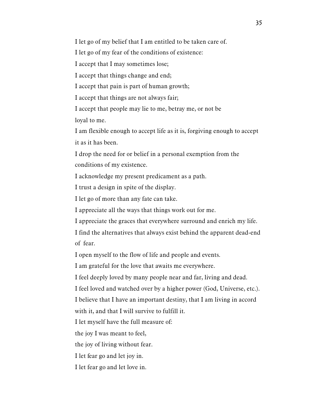I let go of my belief that I am entitled to be taken care of.

I let go of my fear of the conditions of existence:

I accept that I may sometimes lose;

I accept that things change and end;

I accept that pain is part of human growth;

I accept that things are not always fair;

I accept that people may lie to me, betray me, or not be loyal to me.

I am flexible enough to accept life as it is, forgiving enough to accept it as it has been.

I drop the need for or belief in a personal exemption from the conditions of my existence.

I acknowledge my present predicament as a path.

I trust a design in spite of the display.

I let go of more than any fate can take.

I appreciate all the ways that things work out for me.

I appreciate the graces that everywhere surround and enrich my life.

I find the alternatives that always exist behind the apparent dead-end of fear.

I open myself to the flow of life and people and events.

I am grateful for the love that awaits me everywhere.

I feel deeply loved by many people near and far, living and dead.

I feel loved and watched over by a higher power (God, Universe, etc.).

I believe that I have an important destiny, that I am living in accord

with it, and that I will survive to fulfill it.

I let myself have the full measure of:

the joy I was meant to feel,

the joy of living without fear.

I let fear go and let joy in.

I let fear go and let love in.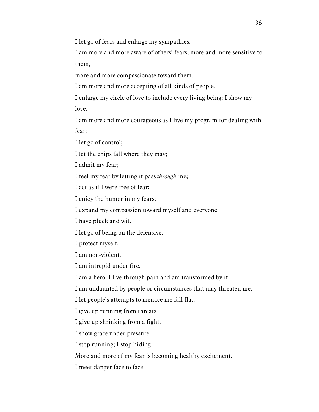I let go of fears and enlarge my sympathies.

I am more and more aware of others' fears, more and more sensitive to them,

more and more compassionate toward them.

I am more and more accepting of all kinds of people.

I enlarge my circle of love to include every living being: I show my love.

I am more and more courageous as I live my program for dealing with fear:

I let go of control;

I let the chips fall where they may;

I admit my fear;

I feel my fear by letting it pass *through* me;

I act as if I were free of fear;

I enjoy the humor in my fears;

I expand my compassion toward myself and everyone.

I have pluck and wit.

I let go of being on the defensive.

I protect myself.

I am non-violent.

I am intrepid under fire.

I am a hero: I live through pain and am transformed by it.

I am undaunted by people or circumstances that may threaten me.

I let people's attempts to menace me fall flat.

I give up running from threats.

I give up shrinking from a fight.

I show grace under pressure.

I stop running; I stop hiding.

More and more of my fear is becoming healthy excitement.

I meet danger face to face.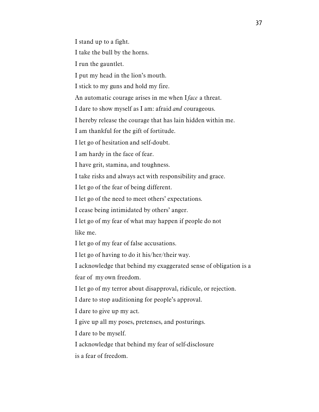I stand up to a fight.

I take the bull by the horns.

I run the gauntlet.

I put my head in the lion's mouth.

I stick to my guns and hold my fire.

An automatic courage arises in me when I*face* a threat.

I dare to show myself as I am: afraid *and* courageous.

I hereby release the courage that has lain hidden within me.

I am thankful for the gift of fortitude.

I let go of hesitation and self-doubt.

I am hardy in the face of fear.

I have grit, stamina, and toughness.

I take risks and always act with responsibility and grace.

I let go of the fear of being different.

I let go of the need to meet others' expectations.

I cease being intimidated by others' anger.

I let go of my fear of what may happen if people do not like me.

I let go of my fear of false accusations.

I let go of having to do it his/her/their way.

I acknowledge that behind my exaggerated sense of obligation is a

fear of my own freedom.

I let go of my terror about disapproval, ridicule, or rejection.

I dare to stop auditioning for people's approval.

I dare to give up my act.

I give up all my poses, pretenses, and posturings.

I dare to be myself.

I acknowledge that behind my fear of self-disclosure

is a fear of freedom.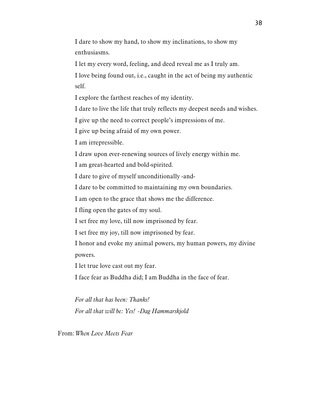I dare to show my hand, to show my inclinations, to show my enthusiasms.

I let my every word, feeling, and deed reveal me as I truly am.

I love being found out, i.e., caught in the act of being my authentic self.

I explore the farthest reaches of my identity.

I dare to live the life that truly reflects my deepest needs and wishes.

I give up the need to correct people's impressions of me.

I give up being afraid of my own power.

I am irrepressible.

I draw upon ever-renewing sources of lively energy within me.

I am great-hearted and bold-spirited.

I dare to give of myself unconditionally -and-

I dare to be committed to maintaining my own boundaries.

I am open to the grace that shows me the difference.

I fling open the gates of my soul.

I set free my love, till now imprisoned by fear.

I set free my joy, till now imprisoned by fear.

I honor and evoke my animal powers, my human powers, my divine powers.

I let true love cast out my fear.

I face fear as Buddha did; I am Buddha in the face of fear.

*For all that has been: Thanks! For all that will be: Yes! -Dag Hammarskjold*

From: *When Love Meets Fear*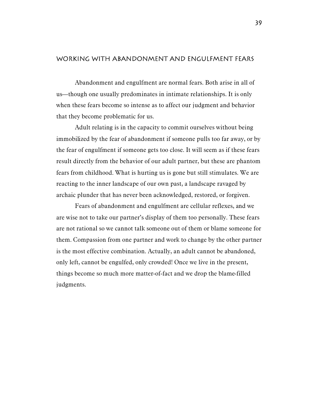#### WORKING WITH ABANDONMENT AND ENGULFMENT FEARS

Abandonment and engulfment are normal fears. Both arise in all of us—though one usually predominates in intimate relationships. It is only when these fears become so intense as to affect our judgment and behavior that they become problematic for us.

Adult relating is in the capacity to commit ourselves without being immobilized by the fear of abandonment if someone pulls too far away, or by the fear of engulfment if someone gets too close. It will seem as if these fears result directly from the behavior of our adult partner, but these are phantom fears from childhood. What is hurting us is gone but still stimulates. We are reacting to the inner landscape of our own past, a landscape ravaged by archaic plunder that has never been acknowledged, restored, or forgiven.

Fears of abandonment and engulfment are cellular reflexes, and we are wise not to take our partner's display of them too personally. These fears are not rational so we cannot talk someone out of them or blame someone for them. Compassion from one partner and work to change by the other partner is the most effective combination. Actually, an adult cannot be abandoned, only left, cannot be engulfed, only crowded! Once we live in the present, things become so much more matter-of-fact and we drop the blame-filled judgments.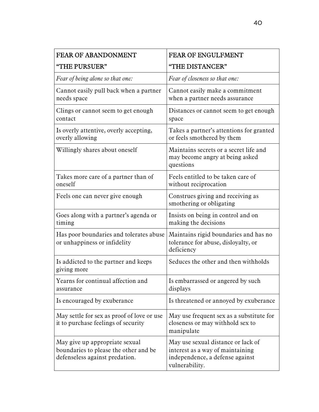| <b>FEAR OF ABANDONMENT</b>                                                                                | <b>FEAR OF ENGULFMENT</b>                                                                                                   |
|-----------------------------------------------------------------------------------------------------------|-----------------------------------------------------------------------------------------------------------------------------|
| "THE PURSUER"                                                                                             | "THE DISTANCER"                                                                                                             |
| Fear of being alone so that one:                                                                          | Fear of closeness so that one:                                                                                              |
| Cannot easily pull back when a partner<br>needs space                                                     | Cannot easily make a commitment<br>when a partner needs assurance                                                           |
| Clings or cannot seem to get enough<br>contact                                                            | Distances or cannot seem to get enough<br>space                                                                             |
| Is overly attentive, overly accepting,<br>overly allowing                                                 | Takes a partner's attentions for granted<br>or feels smothered by them                                                      |
| Willingly shares about oneself                                                                            | Maintains secrets or a secret life and<br>may become angry at being asked<br>questions                                      |
| Takes more care of a partner than of<br>oneself                                                           | Feels entitled to be taken care of<br>without reciprocation                                                                 |
| Feels one can never give enough                                                                           | Construes giving and receiving as<br>smothering or obligating                                                               |
| Goes along with a partner's agenda or<br>timing                                                           | Insists on being in control and on<br>making the decisions                                                                  |
| Has poor boundaries and tolerates abuse<br>or unhappiness or infidelity                                   | Maintains rigid boundaries and has no<br>tolerance for abuse, disloyalty, or<br>deficiency                                  |
| Is addicted to the partner and keeps<br>giving more                                                       | Seduces the other and then withholds                                                                                        |
| Yearns for continual affection and<br>assurance                                                           | Is embarrassed or angered by such<br>displays                                                                               |
| Is encouraged by exuberance                                                                               | Is threatened or annoyed by exuberance                                                                                      |
| May settle for sex as proof of love or use<br>it to purchase feelings of security                         | May use frequent sex as a substitute for<br>closeness or may withhold sex to<br>manipulate                                  |
| May give up appropriate sexual<br>boundaries to please the other and be<br>defenseless against predation. | May use sexual distance or lack of<br>interest as a way of maintaining<br>independence, a defense against<br>vulnerability. |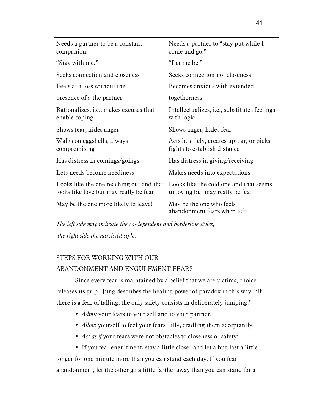| Needs a partner to be a constant<br>companion:                                     | Needs a partner to "stay put while I<br>come and go:"                     |
|------------------------------------------------------------------------------------|---------------------------------------------------------------------------|
| "Stay with me."                                                                    | "Let me be."                                                              |
| Seeks connection and closeness                                                     | Seeks connection not closeness                                            |
| Feels at a loss without the                                                        | Becomes anxious with extended                                             |
| presence of a the partner                                                          | togetherness                                                              |
| Rationalizes, <i>i.e.</i> , makes excuses that<br>enable coping                    | Intellectualizes, <i>i.e.</i> , substitutes feelings<br>with logic        |
| Shows fear, hides anger                                                            | Shows anger, hides fear                                                   |
| Walks on eggshells, always<br>compromising                                         | Acts hostilely, creates uproar, or picks<br>fights to establish distance  |
| Has distress in comings/goings                                                     | Has distress in giving/receiving                                          |
| Lets needs become neediness                                                        | Makes needs into expectations                                             |
| Looks like the one reaching out and that<br>looks like love but may really be fear | Looks like the cold one and that seems<br>unloving but may really be fear |
| May be the one more likely to leave!                                               | May be the one who feels<br>abandonment fears when left!                  |

*The left side may indicate the co-dependent and borderline styles, the right side the narcissist style.*

# STEPS FOR WORKING WITH OUR

### ABANDONMENT AND ENGULFMENT FEARS

Since every fear is maintained by a belief that we are victims, choice releases its grip. Jung describes the healing power of paradox in this way: "If there is a fear of falling, the only safety consists in deliberately jumping!"

- *Admit* your fears to your self and to your partner.
- *Allow* yourself to feel your fears fully, cradling them acceptantly.
- *Act as if* your fears were not obstacles to closeness or safety:
- If you fear engulfment, stay a little closer and let a hug last a little

longer for one minute more than you can stand each day. If you fear abandonment, let the other go a little farther away than you can stand for a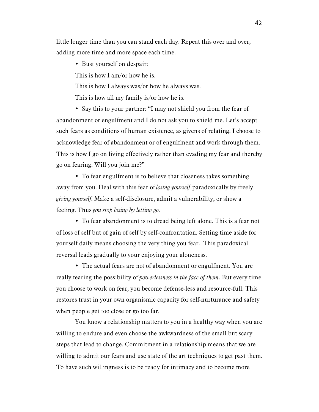little longer time than you can stand each day. Repeat this over and over, adding more time and more space each time.

• Bust yourself on despair:

This is how I am/or how he is.

This is how I always was/or how he always was.

This is how all my family is/or how he is.

• Say this to your partner: "I may not shield you from the fear of abandonment or engulfment and I do not ask you to shield me. Let's accept such fears as conditions of human existence, as givens of relating. I choose to acknowledge fear of abandonment or of engulfment and work through them. This is how I go on living effectively rather than evading my fear and thereby go on fearing. Will you join me?"

• To fear engulfment is to believe that closeness takes something away from you. Deal with this fear of *losing yourself* paradoxically by freely *giving yourself*. Make a self-disclosure, admit a vulnerability, or show a feeling. Thus *you stop losing by letting go.*

• To fear abandonment is to dread being left alone. This is a fear not of loss of self but of gain of self by self-confrontation. Setting time aside for yourself daily means choosing the very thing you fear. This paradoxical reversal leads gradually to your enjoying your aloneness.

• The actual fears are not of abandonment or engulfment. You are really fearing the possibility of *powerlessness in the face of them*. But every time you choose to work on fear, you become defense-less and resource-full. This restores trust in your own organismic capacity for self-nurturance and safety when people get too close or go too far.

You know a relationship matters to you in a healthy way when you are willing to endure and even choose the awkwardness of the small but scary steps that lead to change. Commitment in a relationship means that we are willing to admit our fears and use state of the art techniques to get past them. To have such willingness is to be ready for intimacy and to become more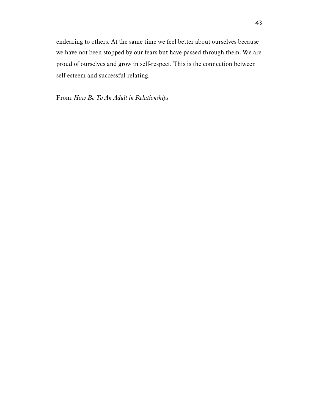endearing to others. At the same time we feel better about ourselves because we have not been stopped by our fears but have passed through them. We are proud of ourselves and grow in self-respect. This is the connection between self-esteem and successful relating.

From: *How Be To An Adult in Relationships*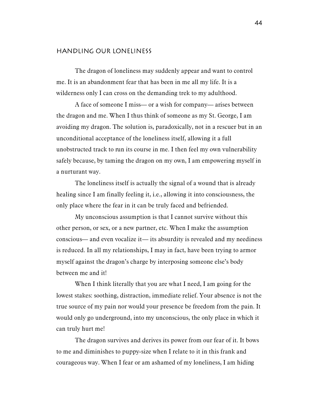#### HANDLING OUR LONELINESS

The dragon of loneliness may suddenly appear and want to control me. It is an abandonment fear that has been in me all my life. It is a wilderness only I can cross on the demanding trek to my adulthood.

A face of someone I miss— or a wish for company— arises between the dragon and me. When I thus think of someone as my St. George, I am avoiding my dragon. The solution is, paradoxically, not in a rescuer but in an unconditional acceptance of the loneliness itself, allowing it a full unobstructed track to run its course in me. I then feel my own vulnerability safely because, by taming the dragon on my own, I am empowering myself in a nurturant way.

The loneliness itself is actually the signal of a wound that is already healing since I am finally feeling it, i.e., allowing it into consciousness, the only place where the fear in it can be truly faced and befriended.

My unconscious assumption is that I cannot survive without this other person, or sex, or a new partner, etc. When I make the assumption conscious— and even vocalize it— its absurdity is revealed and my neediness is reduced. In all my relationships, I may in fact, have been trying to armor myself against the dragon's charge by interposing someone else's body between me and it!

When I think literally that you are what I need, I am going for the lowest stakes: soothing, distraction, immediate relief. Your absence is not the true source of my pain nor would your presence be freedom from the pain. It would only go underground, into my unconscious, the only place in which it can truly hurt me!

The dragon survives and derives its power from our fear of it. It bows to me and diminishes to puppy-size when I relate to it in this frank and courageous way. When I fear or am ashamed of my loneliness, I am hiding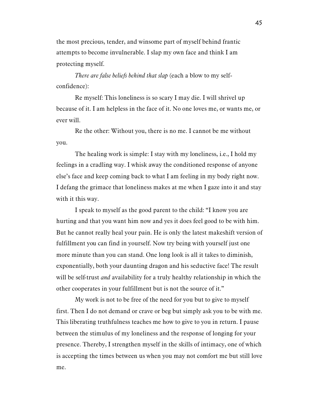the most precious, tender, and winsome part of myself behind frantic attempts to become invulnerable. I slap my own face and think I am protecting myself.

*There are false beliefs behind that slap* (each a blow to my selfconfidence):

Re myself: This loneliness is so scary I may die. I will shrivel up because of it. I am helpless in the face of it. No one loves me, or wants me, or ever will.

Re the other: Without you, there is no me. I cannot be me without you.

The healing work is simple: I stay with my loneliness, i.e., I hold my feelings in a cradling way. I whisk away the conditioned response of anyone else's face and keep coming back to what I am feeling in my body right now. I defang the grimace that loneliness makes at me when I gaze into it and stay with it this way.

I speak to myself as the good parent to the child: "I know you are hurting and that you want him now and yes it does feel good to be with him. But he cannot really heal your pain. He is only the latest makeshift version of fulfillment you can find in yourself. Now try being with yourself just one more minute than you can stand. One long look is all it takes to diminish, exponentially, both your daunting dragon and his seductive face! The result will be self-trust *and* availability for a truly healthy relationship in which the other cooperates in your fulfillment but is not the source of it."

My work is not to be free of the need for you but to give to myself first. Then I do not demand or crave or beg but simply ask you to be with me. This liberating truthfulness teaches me how to give to you in return. I pause between the stimulus of my loneliness and the response of longing for your presence. Thereby, I strengthen myself in the skills of intimacy, one of which is accepting the times between us when you may not comfort me but still love me.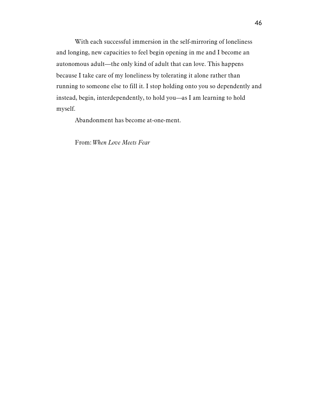With each successful immersion in the self-mirroring of loneliness and longing, new capacities to feel begin opening in me and I become an autonomous adult—the only kind of adult that can love. This happens because I take care of my loneliness by tolerating it alone rather than running to someone else to fill it. I stop holding onto you so dependently and instead, begin, interdependently, to hold you—as I am learning to hold myself.

Abandonment has become at-one-ment.

From: *When Love Meets Fear*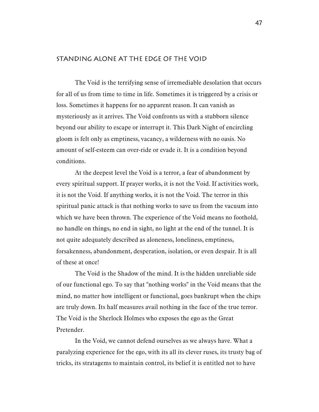#### Standing Alone At The Edge Of The Void

The Void is the terrifying sense of irremediable desolation that occurs for all of us from time to time in life. Sometimes it is triggered by a crisis or loss. Sometimes it happens for no apparent reason. It can vanish as mysteriously as it arrives. The Void confronts us with a stubborn silence beyond our ability to escape or interrupt it. This Dark Night of encircling gloom is felt only as emptiness, vacancy, a wilderness with no oasis. No amount of self-esteem can over-ride or evade it. It is a condition beyond conditions.

At the deepest level the Void is a terror, a fear of abandonment by every spiritual support. If prayer works, it is not the Void. If activities work, it is not the Void. If anything works, it is not the Void. The terror in this spiritual panic attack is that nothing works to save us from the vacuum into which we have been thrown. The experience of the Void means no foothold, no handle on things, no end in sight, no light at the end of the tunnel. It is not quite adequately described as aloneness, loneliness, emptiness, forsakenness, abandonment, desperation, isolation, or even despair. It is all of these at once!

The Void is the Shadow of the mind. It isthe hidden unreliable side of our functional ego. To say that "nothing works" in the Void means that the mind, no matter how intelligent or functional, goes bankrupt when the chips are truly down. Its half measures avail nothing in the face of the true terror. The Void is the Sherlock Holmes who exposes the ego as the Great Pretender.

In the Void, we cannot defend ourselves as we always have. What a paralyzing experience for the ego, with its all its clever ruses, its trusty bag of tricks, its stratagems to maintain control, its belief it is entitled not to have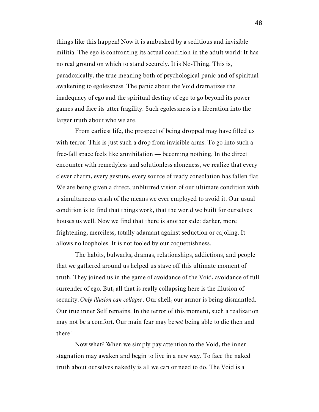things like this happen! Now it is ambushed by a seditious and invisible militia. The ego is confronting its actual condition in the adult world: It has no real ground on which to stand securely. It is No-Thing. This is, paradoxically, the true meaning both of psychological panic and of spiritual awakening to egolessness. The panic about the Void dramatizes the inadequacy of ego and the spiritual destiny of ego to go beyond its power games and face its utter fragility. Such egolessness is a liberation into the larger truth about who we are.

From earliest life, the prospect of being dropped may have filled us with terror. This is just such a drop from invisible arms. To go into such a free-fall space feels like annihilation — becoming nothing. In the direct encounter with remedyless and solutionless aloneness, we realize that every clever charm, every gesture, every source of ready consolation has fallen flat. We are being given a direct, unblurred vision of our ultimate condition with a simultaneous crash of the means we ever employed to avoid it. Our usual condition is to find that things work, that the world we built for ourselves houses us well. Now we find that there is another side: darker, more frightening, merciless, totally adamant against seduction or cajoling. It allows no loopholes. It is not fooled by our coquettishness.

The habits, bulwarks, dramas, relationships, addictions, and people that we gathered around us helped us stave off this ultimate moment of truth. They joined us in the game of avoidance of the Void, avoidance of full surrender of ego. But, all that is really collapsing here is the illusion of security. *Only illusion can collapse*. Our shell, our armor is being dismantled. Our true inner Self remains. In the terror of this moment, such a realization may not be a comfort. Our main fear may be *not* being able to die then and there!

Now what? When we simply pay attention to the Void, the inner stagnation may awaken and begin to live in a new way. To face the naked truth about ourselves nakedly is all we can or need to do. The Void is a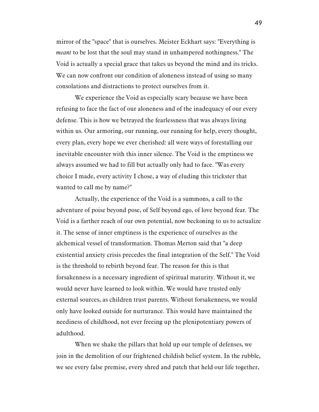mirror of the "space" that is ourselves. Meister Eckhart says: "Everything is *meant* to be lost that the soul may stand in unhampered nothingness." The Void is actually a special grace that takes us beyond the mind and its tricks. We can now confront our condition of aloneness instead of using so many consolations and distractions to protect ourselves from it.

We experience the Void as especially scary because we have been refusing to face the fact of our aloneness and of the inadequacy of our every defense. This is how we betrayed the fearlessness that was always living within us. Our armoring, our running, our running for help, every thought, every plan, every hope we ever cherished: all were ways of forestalling our inevitable encounter with this inner silence. The Void is the emptiness we always assumed we had to fill but actually only had to face. "Was every choice I made, every activity I chose, a way of eluding this trickster that wanted to call me by name?"

Actually, the experience of the Void is a summons, a call to the adventure of poise beyond pose, of Self beyond ego, of love beyond fear. The Void is a farther reach of our own potential, now beckoning to us to actualize it. The sense of inner emptiness is the experience of ourselves as the alchemical vessel of transformation. Thomas Merton said that "a deep existential anxiety crisis precedes the final integration of the Self." The Void is the threshold to rebirth beyond fear. The reason for this is that forsakenness is a necessary ingredient of spiritual maturity. Without it, we would never have learned to look within. We would have trusted only external sources, as children trust parents. Without forsakenness, we would only have looked outside for nurturance. This would have maintained the neediness of childhood, not ever freeing up the plenipotentiary powers of adulthood.

When we shake the pillars that hold up our temple of defenses, we join in the demolition of our frightened childish belief system. In the rubble, we see every false premise, every shred and patch that held our life together,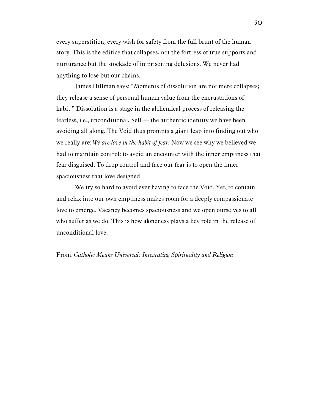every superstition, every wish for safety from the full brunt of the human story. This is the edifice that collapses, not the fortress of true supports and nurturance but the stockade of imprisoning delusions. We never had anything to lose but our chains.

James Hillman says: "Moments of dissolution are not mere collapses; they release a sense of personal human value from the encrustations of habit." Dissolution is a stage in the alchemical process of releasing the fearless, i.e., unconditional, Self — the authentic identity we have been avoiding all along. The Void thus prompts a giant leap into finding out who we really are: *We are love in the habit of fear.* Now we see why we believed we had to maintain control: to avoid an encounter with the inner emptiness that fear disguised. To drop control and face our fear is to open the inner spaciousness that love designed.

We try so hard to avoid ever having to face the Void. Yet, to contain and relax into our own emptiness makes room for a deeply compassionate love to emerge. Vacancy becomes spaciousness and we open ourselves to all who suffer as we do. This is how aloneness plays a key role in the release of unconditional love.

From: *Catholic Means Universal: Integrating Spirituality and Religion*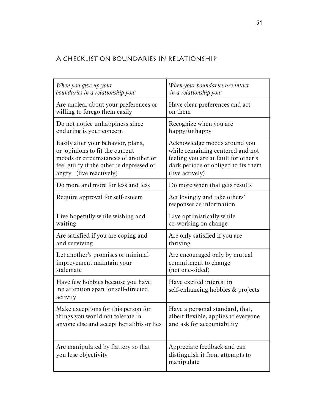## A CHECKLIST ON BOUNDARIES IN RELATIONSHIP

| When you give up your                                                                | When your boundaries are intact                                              |
|--------------------------------------------------------------------------------------|------------------------------------------------------------------------------|
| boundaries in a relationship you:                                                    | in a relationship you:                                                       |
| Are unclear about your preferences or                                                | Have clear preferences and act                                               |
| willing to forego them easily                                                        | on them                                                                      |
| Do not notice unhappiness since                                                      | Recognize when you are                                                       |
| enduring is your concern                                                             | happy/unhappy                                                                |
| Easily alter your behavior, plans,                                                   | Acknowledge moods around you                                                 |
| or opinions to fit the current                                                       | while remaining centered and not                                             |
| moods or circumstances of another or                                                 | feeling you are at fault for other's                                         |
| feel guilty if the other is depressed or                                             | dark periods or obliged to fix them                                          |
| angry (live reactively)                                                              | (live actively)                                                              |
| Do more and more for less and less                                                   | Do more when that gets results                                               |
| Require approval for self-esteem                                                     | Act lovingly and take others'<br>responses as information                    |
| Live hopefully while wishing and                                                     | Live optimistically while                                                    |
| waiting                                                                              | co-working on change                                                         |
| Are satisfied if you are coping and                                                  | Are only satisfied if you are                                                |
| and surviving                                                                        | thriving                                                                     |
| Let another's promises or minimal                                                    | Are encouraged only by mutual                                                |
| improvement maintain your                                                            | commitment to change                                                         |
| stalemate                                                                            | (not one-sided)                                                              |
| Have few hobbies because you have<br>no attention span for self-directed<br>activity | Have excited interest in<br>self-enhancing hobbies & projects                |
| Make exceptions for this person for                                                  | Have a personal standard, that,                                              |
| things you would not tolerate in                                                     | albeit flexible, applies to everyone                                         |
| anyone else and accept her alibis or lies                                            | and ask for accountability                                                   |
| Are manipulated by flattery so that<br>you lose objectivity                          | Appreciate feedback and can<br>distinguish it from attempts to<br>manipulate |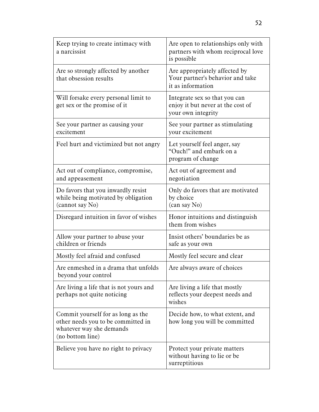| Keep trying to create intimacy with<br>a narcissist                                                                      | Are open to relationships only with<br>partners with whom reciprocal love<br>is possible |
|--------------------------------------------------------------------------------------------------------------------------|------------------------------------------------------------------------------------------|
| Are so strongly affected by another<br>that obsession results                                                            | Are appropriately affected by<br>Your partner's behavior and take<br>it as information   |
| Will forsake every personal limit to<br>get sex or the promise of it                                                     | Integrate sex so that you can<br>enjoy it but never at the cost of<br>your own integrity |
| See your partner as causing your<br>excitement                                                                           | See your partner as stimulating<br>your excitement                                       |
| Feel hurt and victimized but not angry                                                                                   | Let yourself feel anger, say<br>"Ouch!" and embark on a<br>program of change             |
| Act out of compliance, compromise,<br>and appeasement                                                                    | Act out of agreement and<br>negotiation                                                  |
| Do favors that you inwardly resist<br>while being motivated by obligation<br>(cannot say No)                             | Only do favors that are motivated<br>by choice<br>(can say No)                           |
| Disregard intuition in favor of wishes                                                                                   | Honor intuitions and distinguish<br>them from wishes                                     |
| Allow your partner to abuse your<br>children or friends                                                                  | Insist others' boundaries be as<br>safe as your own                                      |
| Mostly feel afraid and confused                                                                                          | Mostly feel secure and clear                                                             |
| Are enmeshed in a drama that unfolds<br>beyond your control                                                              | Are always aware of choices                                                              |
| Are living a life that is not yours and<br>perhaps not quite noticing                                                    | Are living a life that mostly<br>reflects your deepest needs and<br>wishes               |
| Commit yourself for as long as the<br>other needs you to be committed in<br>whatever way she demands<br>(no bottom line) | Decide how, to what extent, and<br>how long you will be committed                        |
| Believe you have no right to privacy                                                                                     | Protect your private matters<br>without having to lie or be<br>surreptitious             |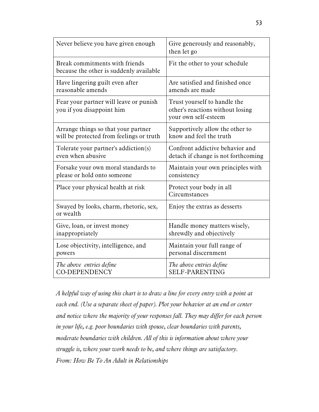| Never believe you have given enough                                       | Give generously and reasonably,<br>then let go                                           |
|---------------------------------------------------------------------------|------------------------------------------------------------------------------------------|
| Break commitments with friends<br>because the other is suddenly available | Fit the other to your schedule                                                           |
| Have lingering guilt even after                                           | Are satisfied and finished once                                                          |
| reasonable amends                                                         | amends are made                                                                          |
| Fear your partner will leave or punish<br>you if you disappoint him       | Trust yourself to handle the<br>other's reactions without losing<br>your own self-esteem |
| Arrange things so that your partner                                       | Supportively allow the other to                                                          |
| will be protected from feelings or truth                                  | know and feel the truth                                                                  |
| Tolerate your partner's addiction(s)                                      | Confront addictive behavior and                                                          |
| even when abusive                                                         | detach if change is not forthcoming                                                      |
| Forsake your own moral standards to                                       | Maintain your own principles with                                                        |
| please or hold onto someone                                               | consistency                                                                              |
| Place your physical health at risk                                        | Protect your body in all<br>Circumstances                                                |
| Swayed by looks, charm, rhetoric, sex,<br>or wealth                       | Enjoy the extras as desserts                                                             |
| Give, loan, or invest money                                               | Handle money matters wisely,                                                             |
| inappropriately                                                           | shrewdly and objectively                                                                 |
| Lose objectivity, intelligence, and                                       | Maintain your full range of                                                              |
| powers                                                                    | personal discernment                                                                     |
| The above entries define                                                  | The above entries define                                                                 |
| <b>CO-DEPENDENCY</b>                                                      | <b>SELF-PARENTING</b>                                                                    |

*A helpful way of using this chart is to draw a line for every entry with a point at each end. (Use a separate sheet of paper). Plot your behavior at an end or center and notice where the majority of your responses fall. They may differ for each person in your life, e.g. poor boundaries with spouse, clear boundaries with parents, moderate boundaries with children. All of this is information about where your struggle is, where your work needs to be, and where things are satisfactory. From: How Be To An Adult in Relationships*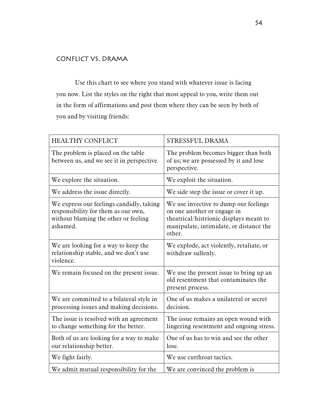### Conflict vs. Drama

Use this chart to see where you stand with whatever issue is facing you now. List the styles on the right that most appeal to you, write them out in the form of affirmations and post them where they can be seen by both of you and by visiting friends:

| <b>HEALTHY CONFLICT</b>                                                                                                             | STRESSFUL DRAMA                                                                                                                                                      |
|-------------------------------------------------------------------------------------------------------------------------------------|----------------------------------------------------------------------------------------------------------------------------------------------------------------------|
| The problem is placed on the table<br>between us, and we see it in perspective.                                                     | The problem becomes bigger than both<br>of us; we are possessed by it and lose<br>perspective.                                                                       |
| We explore the situation.                                                                                                           | We exploit the situation.                                                                                                                                            |
| We address the issue directly.                                                                                                      | We side step the issue or cover it up.                                                                                                                               |
| We express our feelings candidly, taking<br>responsibility for them as our own,<br>without blaming the other or feeling<br>ashamed. | We use invective to dump our feelings<br>on one another or engage in<br>theatrical/histrionic displays meant to<br>manipulate, intimidate, or distance the<br>other. |
| We are looking for a way to keep the<br>relationship stable, and we don't use<br>violence.                                          | We explode, act violently, retaliate, or<br>withdraw sullenly.                                                                                                       |
| We remain focused on the present issue.                                                                                             | We use the present issue to bring up an<br>old resentment that contaminates the<br>present process.                                                                  |
| We are committed to a bilateral style in<br>processing issues and making decisions.                                                 | One of us makes a unilateral or secret<br>decision.                                                                                                                  |
| The issue is resolved with an agreement<br>to change something for the better.                                                      | The issue remains an open wound with<br>lingering resentment and ongoing stress.                                                                                     |
| Both of us are looking for a way to make<br>our relationship better.                                                                | One of us has to win and see the other<br>lose.                                                                                                                      |
| We fight fairly.                                                                                                                    | We use cutthroat tactics.                                                                                                                                            |
| We admit mutual responsibility for the                                                                                              | We are convinced the problem is                                                                                                                                      |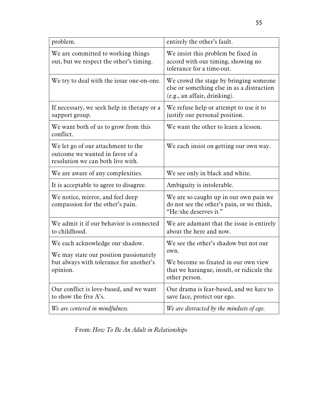| problem.                                                                                                                         | entirely the other's fault.                                                                                                                         |
|----------------------------------------------------------------------------------------------------------------------------------|-----------------------------------------------------------------------------------------------------------------------------------------------------|
| We are committed to working things.<br>out, but we respect the other's timing.                                                   | We insist this problem be fixed in<br>accord with our timing, showing no<br>tolerance for a time-out.                                               |
| We try to deal with the issue one-on-one.                                                                                        | We crowd the stage by bringing someone<br>else or something else in as a distraction<br>(e.g., an affair, drinking).                                |
| If necessary, we seek help in therapy or a<br>support group.                                                                     | We refuse help or attempt to use it to<br>justify our personal position.                                                                            |
| We want both of us to grow from this<br>conflict.                                                                                | We want the other to learn a lesson.                                                                                                                |
| We let go of our attachment to the<br>outcome we wanted in favor of a<br>resolution we can both live with.                       | We each insist on getting our own way.                                                                                                              |
| We are aware of any complexities.                                                                                                | We see only in black and white.                                                                                                                     |
| It is acceptable to agree to disagree.                                                                                           | Ambiguity is intolerable.                                                                                                                           |
| We notice, mirror, and feel deep<br>compassion for the other's pain.                                                             | We are so caught up in our own pain we<br>do not see the other's pain, or we think,<br>"He/she deserves it."                                        |
| We admit it if our behavior is connected<br>to childhood.                                                                        | We are adamant that the issue is entirely<br>about the here and now.                                                                                |
| We each acknowledge our shadow.<br>We may state our position passionately<br>but always with tolerance for another's<br>opinion. | We see the other's shadow but not our<br>own.<br>We become so fixated in our own view<br>that we harangue, insult, or ridicule the<br>other person. |
| Our conflict is love-based, and we want<br>to show the five A's.                                                                 | Our drama is fear-based, and we have to<br>save face, protect our ego.                                                                              |
| We are centered in mindfulness.                                                                                                  | We are distracted by the mindsets of ego.                                                                                                           |

From: *How To Be An Adult in Relationships*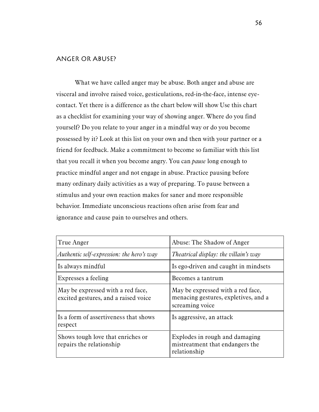#### ANGER OR ABUSE?

What we have called anger may be abuse. Both anger and abuse are visceral and involve raised voice, gesticulations, red-in-the-face, intense eyecontact. Yet there is a difference as the chart below will show Use this chart as a checklist for examining your way of showing anger. Where do you find yourself? Do you relate to your anger in a mindful way or do you become possessed by it? Look at this list on your own and then with your partner or a friend for feedback. Make a commitment to become so familiar with this list that you recall it when you become angry. You can *pause* long enough to practice mindful anger and not engage in abuse. Practice pausing before many ordinary daily activities as a way of preparing. To pause between a stimulus and your own reaction makes for saner and more responsible behavior. Immediate unconscious reactions often arise from fear and ignorance and cause pain to ourselves and others.

| True Anger                                                                | Abuse: The Shadow of Anger                                                                   |
|---------------------------------------------------------------------------|----------------------------------------------------------------------------------------------|
| Authentic self-expression: the hero's way                                 | Theatrical display: the villain's way                                                        |
| Is always mindful                                                         | Is ego-driven and caught in mindsets                                                         |
| Expresses a feeling                                                       | Becomes a tantrum                                                                            |
| May be expressed with a red face,<br>excited gestures, and a raised voice | May be expressed with a red face,<br>menacing gestures, expletives, and a<br>screaming voice |
| Is a form of assertiveness that shows<br>respect                          | Is aggressive, an attack                                                                     |
| Shows tough love that enriches or<br>repairs the relationship             | Explodes in rough and damaging<br>mistreatment that endangers the<br>relationship            |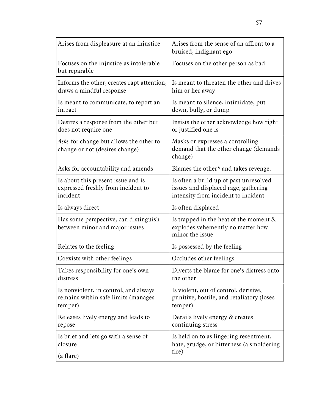| Arises from displeasure at an injustice                                   | Arises from the sense of an affront to a<br>bruised, indignant ego                             |
|---------------------------------------------------------------------------|------------------------------------------------------------------------------------------------|
| Focuses on the injustice as intolerable<br>but reparable                  | Focuses on the other person as bad                                                             |
| Informs the other, creates rapt attention,                                | Is meant to threaten the other and drives                                                      |
| draws a mindful response                                                  | him or her away                                                                                |
| Is meant to communicate, to report an                                     | Is meant to silence, intimidate, put                                                           |
| impact                                                                    | down, bully, or dump                                                                           |
| Desires a response from the other but                                     | Insists the other acknowledge how right                                                        |
| does not require one                                                      | or justified one is                                                                            |
| Asks for change but allows the other to<br>change or not (desires change) | Masks or expresses a controlling<br>demand that the other change (demands<br>change)           |
| Asks for accountability and amends                                        | Blames the other <sup>*</sup> and takes revenge.                                               |
| Is about this present issue and is                                        | Is often a build-up of past unresolved                                                         |
| expressed freshly from incident to                                        | issues and displaced rage, gathering                                                           |
| incident                                                                  | intensity from incident to incident                                                            |
| Is always direct                                                          | Is often displaced                                                                             |
| Has some perspective, can distinguish<br>between minor and major issues   | Is trapped in the heat of the moment &<br>explodes vehemently no matter how<br>minor the issue |
| Relates to the feeling                                                    | Is possessed by the feeling                                                                    |
| Coexists with other feelings                                              | Occludes other feelings                                                                        |
| Takes responsibility for one's own                                        | Diverts the blame for one's distress onto                                                      |
| distress                                                                  | the other                                                                                      |
| Is nonviolent, in control, and always                                     | Is violent, out of control, derisive,                                                          |
| remains within safe limits (manages                                       | punitive, hostile, and retaliatory (loses                                                      |
| temper)                                                                   | temper)                                                                                        |
| Releases lively energy and leads to                                       | Derails lively energy & creates                                                                |
| repose                                                                    | continuing stress                                                                              |
| Is brief and lets go with a sense of                                      | Is held on to as lingering resentment,                                                         |
| closure                                                                   | hate, grudge, or bitterness (a smoldering                                                      |
| (a flare)                                                                 | fire)                                                                                          |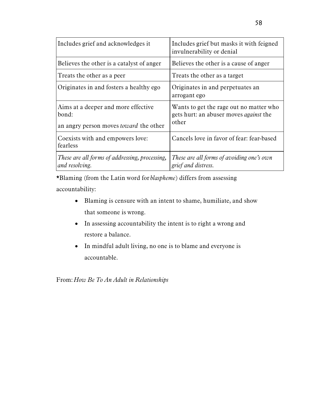| Includes grief and acknowledges it                                                            | Includes grief but masks it with feigned<br>invulnerability or denial                             |
|-----------------------------------------------------------------------------------------------|---------------------------------------------------------------------------------------------------|
| Believes the other is a catalyst of anger                                                     | Believes the other is a cause of anger                                                            |
| Treats the other as a peer                                                                    | Treats the other as a target                                                                      |
| Originates in and fosters a healthy ego                                                       | Originates in and perpetuates an<br>arrogant ego                                                  |
| Aims at a deeper and more effective<br>bond:<br>an angry person moves <i>toward</i> the other | Wants to get the rage out no matter who<br>gets hurt: an abuser moves <i>against</i> the<br>other |
| Coexists with and empowers love:<br>fearless                                                  | Cancels love in favor of fear: fear-based                                                         |
| These are all forms of addressing, processing,<br>and resolving.                              | These are all forms of avoiding one's own<br>grief and distress.                                  |

\*Blaming (from the Latin word for *blaspheme*) differs from assessing

accountability:

- Blaming is censure with an intent to shame, humiliate, and show that someone is wrong.
- In assessing accountability the intent is to right a wrong and restore a balance.
- In mindful adult living, no one is to blame and everyone is accountable.

From: *How Be To An Adult in Relationships*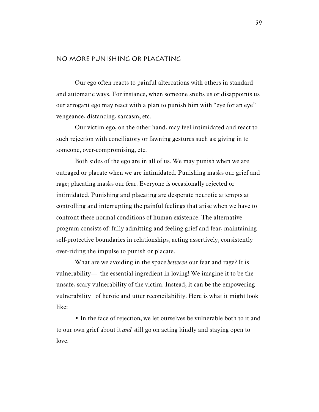#### NO MORE PUNISHING OR PLACATING

Our ego often reacts to painful altercations with others in standard and automatic ways. For instance, when someone snubs us or disappoints us our arrogant ego may react with a plan to punish him with "eye for an eye" vengeance, distancing, sarcasm, etc.

Our victim ego, on the other hand, may feel intimidated and react to such rejection with conciliatory or fawning gestures such as: giving in to someone, over-compromising, etc.

Both sides of the ego are in all of us. We may punish when we are outraged or placate when we are intimidated. Punishing masks our grief and rage; placating masks our fear. Everyone is occasionally rejected or intimidated. Punishing and placating are desperate neurotic attempts at controlling and interrupting the painful feelings that arise when we have to confront these normal conditions of human existence. The alternative program consists of: fully admitting and feeling grief and fear, maintaining self-protective boundaries in relationships, acting assertively, consistently over-riding the impulse to punish or placate.

What are we avoiding in the space *between* our fear and rage? It is vulnerability— the essential ingredient in loving! We imagine it to be the unsafe, scary vulnerability of the victim. Instead, it can be the empowering vulnerability of heroic and utter reconcilability. Here is what it might look like:

• In the face of rejection, we let ourselves be vulnerable both to it and to our own grief about it *and* still go on acting kindly and staying open to love.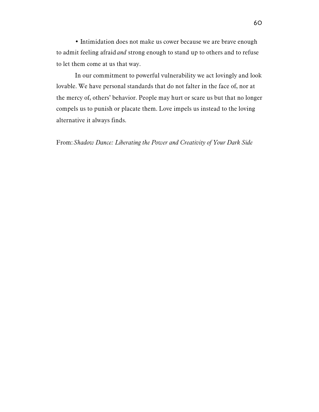• Intimidation does not make us cower because we are brave enough to admit feeling afraid *and* strong enough to stand up to others and to refuse to let them come at us that way.

In our commitment to powerful vulnerability we act lovingly and look lovable. We have personal standards that do not falter in the face of, nor at the mercy of, others' behavior. People may hurt or scare us but that no longer compels us to punish or placate them. Love impels us instead to the loving alternative it always finds.

From: *Shadow Dance: Liberating the Power and Creativity of Your Dark Side*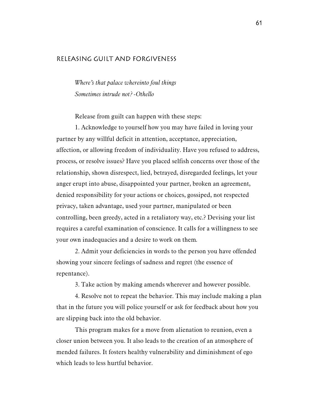#### RELEASING GUILT AND FORGIVENESS

*Where's that palace whereinto foul things Sometimes intrude not? -Othello*

Release from guilt can happen with these steps:

1. Acknowledge to yourself how you may have failed in loving your partner by any willful deficit in attention, acceptance, appreciation, affection, or allowing freedom of individuality. Have you refused to address, process, or resolve issues? Have you placed selfish concerns over those of the relationship, shown disrespect, lied, betrayed, disregarded feelings, let your anger erupt into abuse, disappointed your partner, broken an agreement, denied responsibility for your actions or choices, gossiped, not respected privacy, taken advantage, used your partner, manipulated or been controlling, been greedy, acted in a retaliatory way, etc.? Devising your list requires a careful examination of conscience. It calls for a willingness to see your own inadequacies and a desire to work on them.

2. Admit your deficiencies in words to the person you have offended showing your sincere feelings of sadness and regret (the essence of repentance).

3. Take action by making amends wherever and however possible.

4. Resolve not to repeat the behavior. This may include making a plan that in the future you will police yourself or ask for feedback about how you are slipping back into the old behavior.

This program makes for a move from alienation to reunion, even a closer union between you. It also leads to the creation of an atmosphere of mended failures. It fosters healthy vulnerability and diminishment of ego which leads to less hurtful behavior.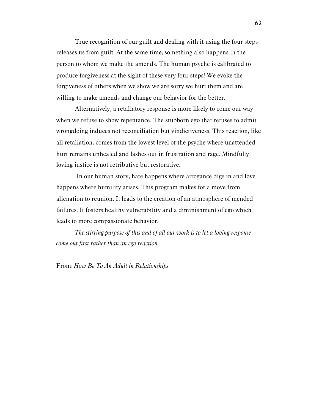True recognition of our guilt and dealing with it using the four steps releases us from guilt. At the same time, something also happens in the person to whom we make the amends. The human psyche is calibrated to produce forgiveness at the sight of these very four steps! We evoke the forgiveness of others when we show we are sorry we hurt them and are willing to make amends and change our behavior for the better.

Alternatively, a retaliatory response is more likely to come our way when we refuse to show repentance. The stubborn ego that refuses to admit wrongdoing induces not reconciliation but vindictiveness. This reaction, like all retaliation, comes from the lowest level of the psyche where unattended hurt remains unhealed and lashes out in frustration and rage. Mindfully loving justice is not retributive but restorative.

In our human story, hate happens where arrogance digs in and love happens where humility arises. This program makes for a move from alienation to reunion. It leads to the creation of an atmosphere of mended failures. It fosters healthy vulnerability and a diminishment of ego which leads to more compassionate behavior.

*The stirring purpose of this and of all our work is to let a loving response come out first rather than an ego reaction.*

From: *How Be To An Adult in Relationships*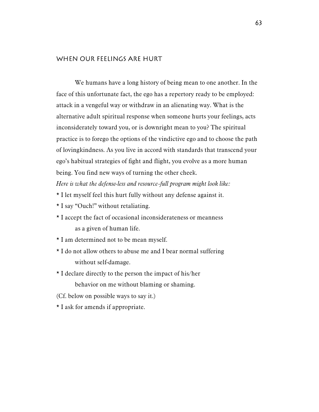#### WHEN OUR FEELINGS ARE HURT

We humans have a long history of being mean to one another. In the face of this unfortunate fact, the ego has a repertory ready to be employed: attack in a vengeful way or withdraw in an alienating way. What is the alternative adult spiritual response when someone hurts your feelings, acts inconsiderately toward you, or is downright mean to you? The spiritual practice is to forego the options of the vindictive ego and to choose the path of lovingkindness. As you live in accord with standards that transcend your ego's habitual strategies of fight and flight, you evolve as a more human being. You find new ways of turning the other cheek.

*Here is what the defense-less and resource-full program might look like:*

- \* I let myself feel this hurt fully without any defense against it.
- \* I say "Ouch!" without retaliating.
- \* I accept the fact of occasional inconsiderateness or meanness as a given of human life.
- \* I am determined not to be mean myself.
- \* I do not allow others to abuse me and I bear normal suffering without self-damage.
- \* I declare directly to the person the impact of his/her behavior on me without blaming or shaming.
- (Cf. below on possible ways to say it.)
- \* I ask for amends if appropriate.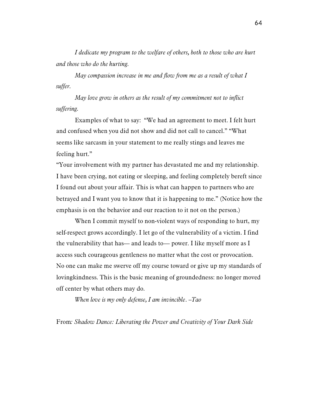*I dedicate my program to the welfare of others, both to those who are hurt and those who do the hurting.*

*May compassion increase in me and flow from me as a result of what I suffer.*

*May love grow in others as the result of my commitment not to inflict suffering.*

Examples of what to say: "We had an agreement to meet. I felt hurt and confused when you did not show and did not call to cancel." "What seems like sarcasm in your statement to me really stings and leaves me feeling hurt."

"Your involvement with my partner has devastated me and my relationship. I have been crying, not eating or sleeping, and feeling completely bereft since I found out about your affair. This is what can happen to partners who are betrayed and I want you to know that it is happening to me." (Notice how the emphasis is on the behavior and our reaction to it not on the person.)

When I commit myself to non-violent ways of responding to hurt, my self-respect grows accordingly. I let go of the vulnerability of a victim. I find the vulnerability that has— and leads to— power. I like myself more as I access such courageous gentleness no matter what the cost or provocation. No one can make me swerve off my course toward or give up my standards of lovingkindness. This is the basic meaning of groundedness: no longer moved off center by what others may do.

*When love is my only defense, I am invincible*. –*Tao*

From*: Shadow Dance: Liberating the Power and Creativity of Your Dark Side*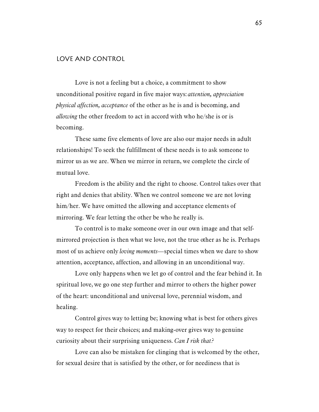#### LOVE AND CONTROL

Love is not a feeling but a choice, a commitment to show unconditional positive regard in five major ways: *attention, appreciation physical affection, acceptance* of the other as he is and is becoming, and *allowing* the other freedom to act in accord with who he/she is or is becoming.

These same five elements of love are also our major needs in adult relationships! To seek the fulfillment of these needs is to ask someone to mirror us as we are. When we mirror in return, we complete the circle of mutual love.

Freedom is the ability and the right to choose. Control takes over that right and denies that ability. When we control someone we are not loving him/her. We have omitted the allowing and acceptance elements of mirroring. We fear letting the other be who he really is.

To control is to make someone over in our own image and that selfmirrored projection is then what we love, not the true other as he is. Perhaps most of us achieve only *loving moments—*special times when we dare to show attention, acceptance, affection, and allowing in an unconditional way.

Love only happens when we let go of control and the fear behind it. In spiritual love, we go one step further and mirror to others the higher power of the heart: unconditional and universal love, perennial wisdom, and healing.

Control gives way to letting be; knowing what is best for others gives way to respect for their choices; and making-over gives way to genuine curiosity about their surprising uniqueness. *Can I risk that?*

Love can also be mistaken for clinging that is welcomed by the other, for sexual desire that is satisfied by the other, or for neediness that is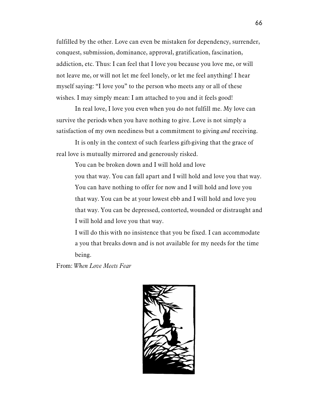fulfilled by the other. Love can even be mistaken for dependency, surrender, conquest, submission, dominance, approval, gratification, fascination, addiction, etc. Thus: I can feel that I love you because you love me, or will not leave me, or will not let me feel lonely, or let me feel anything! I hear myself saying: "I love you" to the person who meets any or all of these wishes. I may simply mean: I am attached to you and it feels good!

In real love, I love you even when you do not fulfill me. My love can survive the periods when you have nothing to give. Love is not simply a satisfaction of my own neediness but a commitment to giving *and* receiving.

It is only in the context of such fearless gift-giving that the grace of real love is mutually mirrored and generously risked.

You can be broken down and I will hold and love you that way. You can fall apart and I will hold and love you that way. You can have nothing to offer for now and I will hold and love you that way. You can be at your lowest ebb and I will hold and love you that way. You can be depressed, contorted, wounded or distraught and I will hold and love you that way.

I will do this with no insistence that you be fixed. I can accommodate a you that breaks down and is not available for my needs for the time being.

From: *When Love Meets Fear*

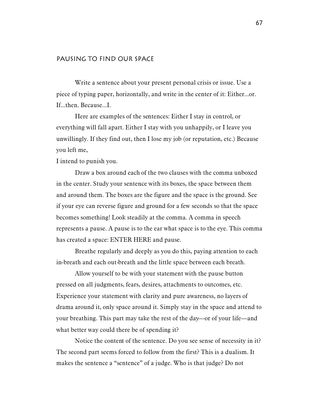#### PAUSING TO FIND OUR SPACE

Write a sentence about your present personal crisis or issue. Use a piece of typing paper, horizontally, and write in the center of it: Either...or. If...then. Because...I.

Here are examples of the sentences: Either I stay in control, or everything will fall apart. Either I stay with you unhappily, or I leave you unwillingly. If they find out, then I lose my job (or reputation, etc.) Because you left me,

I intend to punish you.

Draw a box around each of the two clauses with the comma unboxed in the center. Study your sentence with its boxes, the space between them and around them. The boxes are the figure and the space is the ground. See if your eye can reverse figure and ground for a few seconds so that the space becomes something! Look steadily at the comma. A comma in speech represents a pause. A pause is to the ear what space is to the eye. This comma has created a space: ENTER HERE and pause.

Breathe regularly and deeply as you do this, paying attention to each in-breath and each out-breath and the little space between each breath.

Allow yourself to be with your statement with the pause button pressed on all judgments, fears, desires, attachments to outcomes, etc. Experience your statement with clarity and pure awareness, no layers of drama around it, only space around it. Simply stay in the space and attend to your breathing. This part may take the rest of the day—or of your life—and what better way could there be of spending it?

Notice the content of the sentence. Do you see sense of necessity in it? The second part seems forced to follow from the first? This is a dualism. It makes the sentence a "sentence" of a judge. Who is that judge? Do not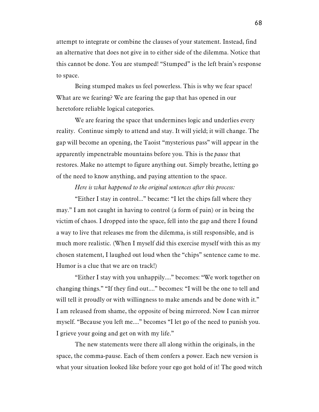attempt to integrate or combine the clauses of your statement. Instead, find an alternative that does not give in to either side of the dilemma. Notice that this cannot be done. You are stumped! "Stumped" is the left brain's response to space.

Being stumped makes us feel powerless. This is why we fear space! What are we fearing? We are fearing the gap that has opened in our heretofore reliable logical categories.

We are fearing the space that undermines logic and underlies every reality. Continue simply to attend and stay. It will yield; it will change. The gap will become an opening, the Taoist "mysterious pass" will appear in the apparently impenetrable mountains before you. This is the *pause* that restores. Make no attempt to figure anything out. Simply breathe, letting go of the need to know anything, and paying attention to the space.

*Here is what happened to the original sentences after this process:*

"Either I stay in control..." became: "I let the chips fall where they may." I am not caught in having to control (a form of pain) or in being the victim of chaos. I dropped into the space, fell into the gap and there I found a way to live that releases me from the dilemma, is still responsible, and is much more realistic. (When I myself did this exercise myself with this as my chosen statement, I laughed out loud when the "chips" sentence came to me. Humor is a clue that we are on track!)

"Either I stay with you unhappily...." becomes: "We work together on changing things." "If they find out...." becomes: "I will be the one to tell and will tell it proudly or with willingness to make amends and be done with it." I am released from shame, the opposite of being mirrored. Now I can mirror myself. "Because you left me...." becomes "I let go of the need to punish you. I grieve your going and get on with my life."

The new statements were there all along within the originals, in the space, the comma-pause. Each of them confers a power. Each new version is what your situation looked like before your ego got hold of it! The good witch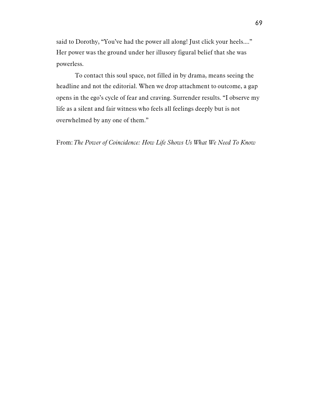said to Dorothy, "You've had the power all along! Just click your heels...." Her power was the ground under her illusory figural belief that she was powerless.

To contact this soul space, not filled in by drama, means seeing the headline and not the editorial. When we drop attachment to outcome, a gap opens in the ego's cycle of fear and craving. Surrender results. "I observe my life as a silent and fair witness who feels all feelings deeply but is not overwhelmed by any one of them."

From: *The Power of Coincidence: How Life Shows Us What We Need To Know*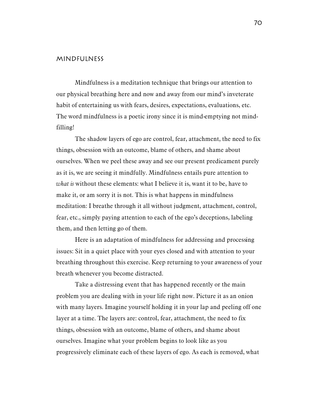### **MINDFULNESS**

Mindfulness is a meditation technique that brings our attention to our physical breathing here and now and away from our mind's inveterate habit of entertaining us with fears, desires, expectations, evaluations, etc. The word mindfulness is a poetic irony since it is mind-emptying not mindfilling!

The shadow layers of ego are control, fear, attachment, the need to fix things, obsession with an outcome, blame of others, and shame about ourselves. When we peel these away and see our present predicament purely as it is, we are seeing it mindfully. Mindfulness entails pure attention to *what is* without these elements: what I believe it is, want it to be, have to make it, or am sorry it is not. This is what happens in mindfulness meditation: I breathe through it all without judgment, attachment, control, fear, etc., simply paying attention to each of the ego's deceptions, labeling them, and then letting go of them.

Here is an adaptation of mindfulness for addressing and processing issues: Sit in a quiet place with your eyes closed and with attention to your breathing throughout this exercise. Keep returning to your awareness of your breath whenever you become distracted.

Take a distressing event that has happened recently or the main problem you are dealing with in your life right now. Picture it as an onion with many layers. Imagine yourself holding it in your lap and peeling off one layer at a time. The layers are: control, fear, attachment, the need to fix things, obsession with an outcome, blame of others, and shame about ourselves. Imagine what your problem begins to look like as you progressively eliminate each of these layers of ego. As each is removed, what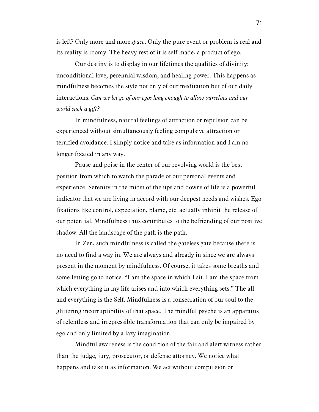is left? Only more and more *space*. Only the pure event or problem is real and its reality is roomy. The heavy rest of it is self-made, a product of ego.

Our destiny is to display in our lifetimes the qualities of divinity: unconditional love, perennial wisdom, and healing power. This happens as mindfulness becomes the style not only of our meditation but of our daily interactions. *Can we let go of our egos long enough to allow ourselves and our world such a gift?*

In mindfulness, natural feelings of attraction or repulsion can be experienced without simultaneously feeling compulsive attraction or terrified avoidance. I simply notice and take as information and I am no longer fixated in any way.

Pause and poise in the center of our revolving world is the best position from which to watch the parade of our personal events and experience. Serenity in the midst of the ups and downs of life is a powerful indicator that we are living in accord with our deepest needs and wishes. Ego fixations like control, expectation, blame, etc. actually inhibit the release of our potential. Mindfulness thus contributes to the befriending of our positive shadow. All the landscape of the path is the path.

In Zen, such mindfulness is called the gateless gate because there is no need to find a way in. We are always and already in since we are always present in the moment by mindfulness. Of course, it takes some breaths and some letting go to notice. "I am the space in which I sit. I am the space from which everything in my life arises and into which everything sets." The all and everything is the Self. Mindfulness is a consecration of our soul to the glittering incorruptibility of that space. The mindful psyche is an apparatus of relentless and irrepressible transformation that can only be impaired by ego and only limited by a lazy imagination.

Mindful awareness is the condition of the fair and alert witness rather than the judge, jury, prosecutor, or defense attorney. We notice what happens and take it as information. We act without compulsion or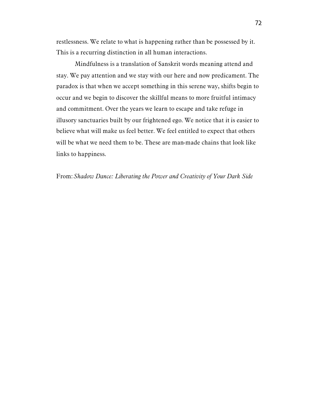restlessness. We relate to what is happening rather than be possessed by it. This is a recurring distinction in all human interactions.

Mindfulness is a translation of Sanskrit words meaning attend and stay. We pay attention and we stay with our here and now predicament. The paradox is that when we accept something in this serene way, shifts begin to occur and we begin to discover the skillful means to more fruitful intimacy and commitment. Over the years we learn to escape and take refuge in illusory sanctuaries built by our frightened ego. We notice that it is easier to believe what will make us feel better. We feel entitled to expect that others will be what we need them to be. These are man-made chains that look like links to happiness.

From: *Shadow Dance: Liberating the Power and Creativity of Your Dark Side*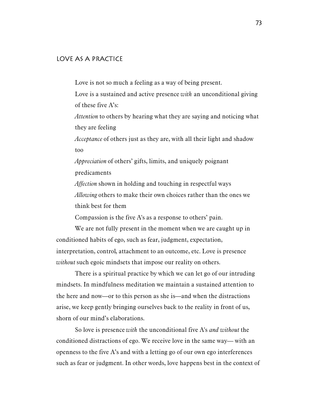# LOVE AS A PRACTICE

Love is not so much a feeling as a way of being present.

Love is a sustained and active presence *with* an unconditional giving of these five A's:

*Attention* to others by hearing what they are saying and noticing what they are feeling

*Acceptance* of others just as they are, with all their light and shadow too

*Appreciation* of others' gifts, limits, and uniquely poignant predicaments

*Affection* shown in holding and touching in respectful ways *Allowing* others to make their own choices rather than the ones we

think best for them

Compassion is the five A's as a response to others' pain.

We are not fully present in the moment when we are caught up in conditioned habits of ego, such as fear, judgment, expectation, interpretation, control, attachment to an outcome, etc. Love is presence *without* such egoic mindsets that impose our reality on others.

There is a spiritual practice by which we can let go of our intruding mindsets. In mindfulness meditation we maintain a sustained attention to the here and now—or to this person as she is—and when the distractions arise, we keep gently bringing ourselves back to the reality in front of us, shorn of our mind's elaborations.

So love is presence *with* the unconditional five A's *and without*the conditioned distractions of ego. We receive love in the same way— with an openness to the five A's and with a letting go of our own ego interferences such as fear or judgment. In other words, love happens best in the context of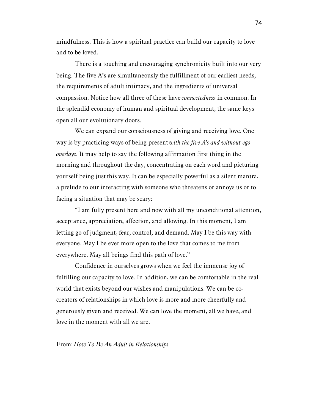mindfulness. This is how a spiritual practice can build our capacity to love and to be loved.

There is a touching and encouraging synchronicity built into our very being. The five A's are simultaneously the fulfillment of our earliest needs, the requirements of adult intimacy, and the ingredients of universal compassion. Notice how all three of these have *connectedness* in common. In the splendid economy of human and spiritual development, the same keys open all our evolutionary doors.

We can expand our consciousness of giving and receiving love. One way is by practicing ways of being present *with the five A's and without ego overlays*. It may help to say the following affirmation first thing in the morning and throughout the day, concentrating on each word and picturing yourself being justthis way. It can be especially powerful as a silent mantra, a prelude to our interacting with someone who threatens or annoys us or to facing a situation that may be scary:

"I am fully present here and now with all my unconditional attention, acceptance, appreciation, affection, and allowing. In this moment, I am letting go of judgment, fear, control, and demand. May I be this way with everyone. May I be ever more open to the love that comes to me from everywhere. May all beings find this path of love."

Confidence in ourselves grows when we feel the immense joy of fulfilling our capacity to love. In addition, we can be comfortable in the real world that exists beyond our wishes and manipulations. We can be cocreators of relationships in which love is more and more cheerfully and generously given and received. We can love the moment, all we have, and love in the moment with all we are.

#### From: *How To Be An Adult in Relationships*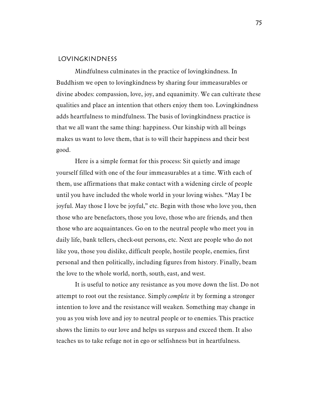### LOVINGKINDNESS

Mindfulness culminates in the practice of lovingkindness. In Buddhism we open to lovingkindness by sharing four immeasurables or divine abodes: compassion, love, joy, and equanimity. We can cultivate these qualities and place an intention that others enjoy them too. Lovingkindness adds heartfulness to mindfulness. The basis of lovingkindness practice is that we all want the same thing: happiness. Our kinship with all beings makes us want to love them, that is to will their happiness and their best good.

Here is a simple format for this process: Sit quietly and image yourself filled with one of the four immeasurables at a time. With each of them, use affirmations that make contact with a widening circle of people until you have included the whole world in your loving wishes. "May I be joyful. May those I love be joyful," etc. Begin with those who love you, then those who are benefactors, those you love, those who are friends, and then those who are acquaintances. Go on to the neutral people who meet you in daily life, bank tellers, check-out persons, etc. Next are people who do not like you, those you dislike, difficult people, hostile people, enemies, first personal and then politically, including figures from history. Finally, beam the love to the whole world, north, south, east, and west.

It is useful to notice any resistance as you move down the list. Do not attempt to root out the resistance. Simply *complete* it by forming a stronger intention to love and the resistance will weaken. Something may change in you as you wish love and joy to neutral people or to enemies. This practice shows the limits to our love and helps us surpass and exceed them. It also teaches us to take refuge not in ego or selfishness but in heartfulness.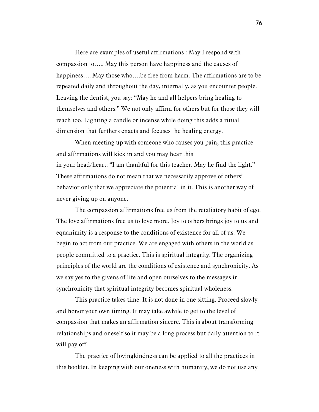Here are examples of useful affirmations : May I respond with compassion to….. May this person have happiness and the causes of happiness…. May those who….be free from harm. The affirmations are to be repeated daily and throughout the day, internally, as you encounter people. Leaving the dentist, you say: "May he and all helpers bring healing to themselves and others." We not only affirm for others but for those they will reach too. Lighting a candle or incense while doing this adds a ritual dimension that furthers enacts and focuses the healing energy.

When meeting up with someone who causes you pain, this practice and affirmations will kick in and you may hear this in your head/heart: "I am thankful for this teacher. May he find the light." These affirmations do not mean that we necessarily approve of others' behavior only that we appreciate the potential in it. This is another way of never giving up on anyone.

The compassion affirmations free us from the retaliatory habit of ego. The love affirmations free us to love more. Joy to others brings joy to us and equanimity is a response to the conditions of existence for all of us. We begin to act from our practice. We are engaged with others in the world as people committed to a practice. This is spiritual integrity. The organizing principles of the world are the conditions of existence and synchronicity. As we say yes to the givens of life and open ourselves to the messages in synchronicity that spiritual integrity becomes spiritual wholeness.

This practice takes time. It is not done in one sitting. Proceed slowly and honor your own timing. It may take awhile to get to the level of compassion that makes an affirmation sincere. This is about transforming relationships and oneself so it may be a long process but daily attention to it will pay off.

The practice of lovingkindness can be applied to all the practices in this booklet. In keeping with our oneness with humanity, we do not use any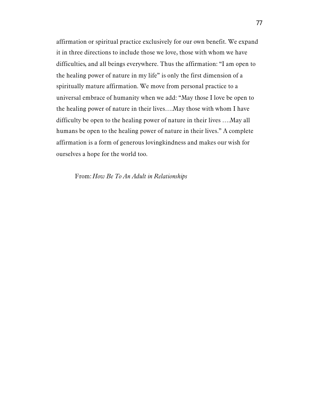affirmation or spiritual practice exclusively for our own benefit. We expand it in three directions to include those we love, those with whom we have difficulties, and all beings everywhere. Thus the affirmation: "I am open to the healing power of nature in my life" is only the first dimension of a spiritually mature affirmation. We move from personal practice to a universal embrace of humanity when we add: "May those I love be open to the healing power of nature in their lives….May those with whom I have difficulty be open to the healing power of nature in their lives ….May all humans be open to the healing power of nature in their lives." A complete affirmation is a form of generous lovingkindness and makes our wish for ourselves a hope for the world too.

From: *How Be To An Adult in Relationships*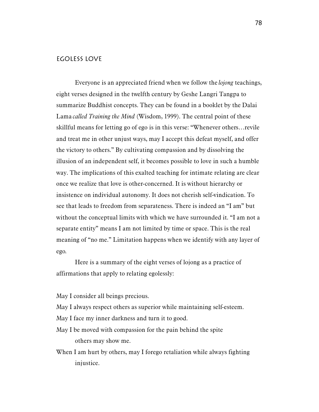# EGOLESS LOVE

Everyone is an appreciated friend when we follow the *lojong* teachings, eight verses designed in the twelfth century by Geshe Langri Tangpa to summarize Buddhist concepts. They can be found in a booklet by the Dalai Lama *called Training the Mind* (Wisdom, 1999). The central point of these skillful means for letting go of ego is in this verse: "Whenever others…revile and treat me in other unjust ways, may I accept this defeat myself, and offer the victory to others." By cultivating compassion and by dissolving the illusion of an independent self, it becomes possible to love in such a humble way. The implications of this exalted teaching for intimate relating are clear once we realize that love is other-concerned. It is without hierarchy or insistence on individual autonomy. It does not cherish self-vindication. To see that leads to freedom from separateness. There is indeed an "I am" but without the conceptual limits with which we have surrounded it. "I am not a separate entity" means I am not limited by time or space. This is the real meaning of "no me." Limitation happens when we identify with any layer of ego.

Here is a summary of the eight verses of lojong as a practice of affirmations that apply to relating egolessly:

May I consider all beings precious.

May I always respect others as superior while maintaining self-esteem.

May I face my inner darkness and turn it to good.

- May I be moved with compassion for the pain behind the spite others may show me.
- When I am hurt by others, may I forego retaliation while always fighting injustice.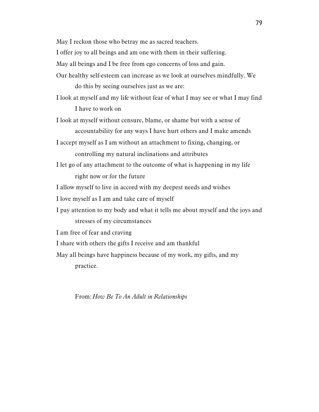May I reckon those who betray me as sacred teachers.

I offer joy to all beings and am one with them in their suffering.

May all beings and I be free from ego concerns of loss and gain.

- Our healthy self-esteem can increase as we look at ourselves mindfully. We do this by seeing ourselves just as we are:
- I look at myself and my life without fear of what I may see or what I may find I have to work on
- I look at myself without censure, blame, or shame but with a sense of accountability for any ways I have hurt others and I make amends

I accept myself as I am without an attachment to fixing, changing, or

controlling my natural inclinations and attributes

I let go of any attachment to the outcome of what is happening in my life right now or for the future

I allow myself to live in accord with my deepest needs and wishes

I love myself as I am and take care of myself

I pay attention to my body and what it tells me about myself and the joys and stresses of my circumstances

I am free of fear and craving

I share with others the gifts I receive and am thankful

May all beings have happiness because of my work, my gifts, and my practice.

From: *How Be To An Adult in Relationships*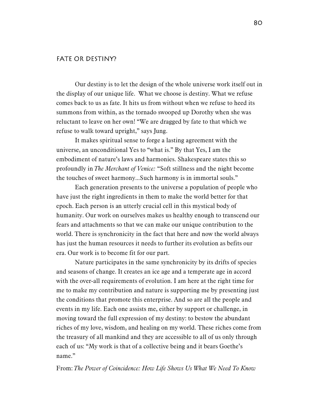## FATE OR DESTINY?

Our destiny is to let the design of the whole universe work itself out in the display of our unique life. What we choose is destiny. What we refuse comes back to us as fate. It hits us from without when we refuse to heed its summons from within, as the tornado swooped up Dorothy when she was reluctant to leave on her own! "We are dragged by fate to that which we refuse to walk toward upright," says Jung.

It makes spiritual sense to forge a lasting agreement with the universe, an unconditional Yes to "what is." By that Yes, I am the embodiment of nature's laws and harmonies. Shakespeare states this so profoundly in *The Merchant of Venice:* "Soft stillness and the night become the touches of sweet harmony...Such harmony is in immortal souls."

Each generation presents to the universe a population of people who have just the right ingredients in them to make the world better for that epoch. Each person is an utterly crucial cell in this mystical body of humanity. Our work on ourselves makes us healthy enough to transcend our fears and attachments so that we can make our unique contribution to the world. There is synchronicity in the fact that here and now the world always has just the human resources it needs to further its evolution as befits our era. Our work is to become fit for our part.

Nature participates in the same synchronicity by its drifts of species and seasons of change. It creates an ice age and a temperate age in accord with the over-all requirements of evolution. I am here at the right time for me to make my contribution and nature is supporting me by presenting just the conditions that promote this enterprise. And so are all the people and events in my life. Each one assists me, either by support or challenge, in moving toward the full expression of my destiny: to bestow the abundant riches of my love, wisdom, and healing on my world. These riches come from the treasury of all mankind and they are accessible to all of us only through each of us: "My work is that of a collective being and it bears Goethe's name."

From: *The Power of Coincidence: How Life Shows Us What We Need To Know*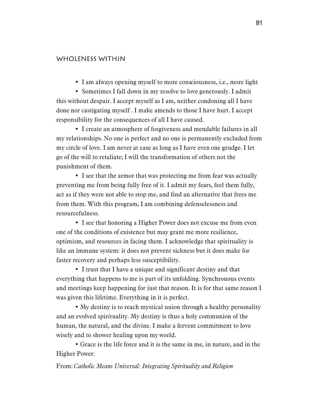### WHOLENESS WITHIN

• I am always opening myself to more consciousness, i.e., more light

• Sometimes I fall down in my resolve to love generously. I admit this without despair. I accept myself as I am, neither condoning all I have done nor castigating myself . I make amends to those I have hurt. I accept responsibility for the consequences of all I have caused.

• I create an atmosphere of forgiveness and mendable failures in all my relationships. No one is perfect and no one is permanently excluded from my circle of love. I am never at ease as long as I have even one grudge. I let go of the will to retaliate; I will the transformation of others not the punishment of them.

• I see that the armor that was protecting me from fear was actually preventing me from being fully free of it. I admit my fears, feel them fully, act as if they were not able to stop me, and find an alternative that frees me from them. With this program, I am combining defenselessness and resourcefulness.

• I see that honoring a Higher Power does not excuse me from even one of the conditions of existence but may grant me more resilience, optimism, and resources in facing them. I acknowledge that spirituality is like an immune system: it does not prevent sickness but it does make for faster recovery and perhaps less susceptibility.

• I trust that I have a unique and significant destiny and that everything that happens to me is part of its unfolding. Synchronous events and meetings keep happening for just that reason. It is for that same reason I was given this lifetime. Everything in it is perfect.

• My destiny is to reach mystical union through a healthy personality and an evolved spirituality. My destiny is thus a holy communion of the human, the natural, and the divine. I make a fervent commitment to love wisely and to shower healing upon my world.

• Grace is the life force and it is the same in me, in nature, and in the Higher Power.

From: *Catholic Means Universal: Integrating Spirituality and Religion*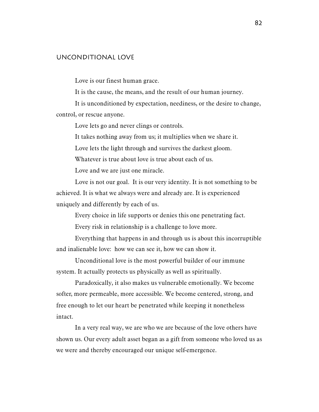### UNCONDITIONAL LOVE

Love is our finest human grace.

It is the cause, the means, and the result of our human journey.

It is unconditioned by expectation, neediness, or the desire to change, control, or rescue anyone.

Love lets go and never clings or controls.

It takes nothing away from us; it multiplies when we share it.

Love lets the light through and survives the darkest gloom.

Whatever is true about love is true about each of us.

Love and we are just one miracle.

Love is not our goal. It is our very identity. It is not something to be achieved. It is what we always were and already are. It is experienced uniquely and differently by each of us.

Every choice in life supports or denies this one penetrating fact.

Every risk in relationship is a challenge to love more.

Everything that happens in and through us is about this incorruptible and inalienable love: how we can see it, how we can show it.

Unconditional love is the most powerful builder of our immune system. It actually protects us physically as well as spiritually.

Paradoxically, it also makes us vulnerable emotionally. We become softer, more permeable, more accessible. We become centered, strong, and free enough to let our heart be penetrated while keeping it nonetheless intact.

In a very real way, we are who we are because of the love others have shown us. Our every adult asset began as a gift from someone who loved us as we were and thereby encouraged our unique self-emergence.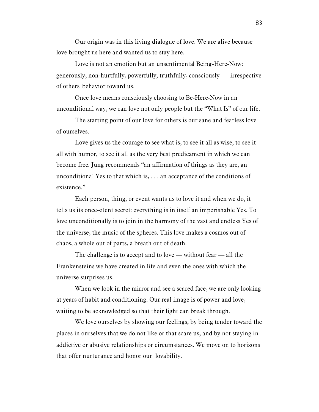Our origin was in this living dialogue of love. We are alive because love brought us here and wanted us to stay here.

Love is not an emotion but an unsentimental Being-Here-Now: generously, non-hurtfully, powerfully, truthfully, consciously — irrespective of others' behavior toward us.

Once love means consciously choosing to Be-Here-Now in an unconditional way, we can love not only people but the "What Is" of our life.

The starting point of our love for others is our sane and fearless love of ourselves.

Love gives us the courage to see what is, to see it all as wise, to see it all with humor, to see it all as the very best predicament in which we can become free. Jung recommends "an affirmation of things as they are, an unconditional Yes to that which is, . . . an acceptance of the conditions of existence."

Each person, thing, or event wants us to love it and when we do, it tells us its once-silent secret: everything is in itself an imperishable Yes. To love unconditionally is to join in the harmony of the vast and endless Yes of the universe, the music of the spheres. This love makes a cosmos out of chaos, a whole out of parts, a breath out of death.

The challenge is to accept and to love — without fear — all the Frankensteins we have created in life and even the ones with which the universe surprises us.

When we look in the mirror and see a scared face, we are only looking at years of habit and conditioning. Our real image is of power and love, waiting to be acknowledged so that their light can break through.

We love ourselves by showing our feelings, by being tender toward the places in ourselves that we do not like or that scare us, and by not staying in addictive or abusive relationships or circumstances. We move on to horizons that offer nurturance and honor our lovability.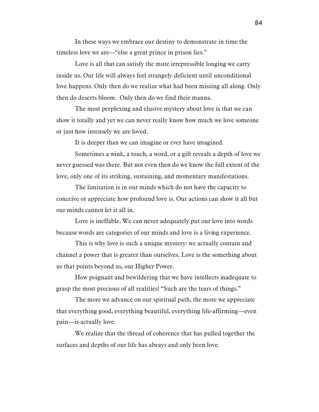In these ways we embrace our destiny to demonstrate in time the timeless love we are—"else a great prince in prison lies."

Love is all that can satisfy the mute irrepressible longing we carry inside us. Our life will always feel strangely deficient until unconditional love happens. Only then do we realize what had been missing all along. Only then do deserts bloom. Only then do we find their manna.

The most perplexing and elusive mystery about love is that we can show it totally and yet we can never really know how much we love someone or just how intensely we are loved.

It is deeper than we can imagine or ever have imagined.

Sometimes a wink, a touch, a word, or a gift reveals a depth of love we never guessed was there. But not even then do we know the full extent of the love, only one of its striking, sustaining, and momentary manifestations.

The limitation is in our minds which do not have the capacity to conceive or appreciate how profound love is. Our actions can show it all but our minds cannot let it all in.

Love is ineffable. We can never adequately put our love into words because words are categories of our minds and love is a living experience.

This is why love is such a unique mystery: we actually contain and channel a power that is greater than ourselves. Love is the something about us that points beyond us, our Higher Power.

How poignant and bewildering that we have intellects inadequate to grasp the most precious of all realities! "Such are the tears of things."

The more we advance on our spiritual path, the more we appreciate that everything good, everything beautiful, everything life-affirming—even pain—is actually love.

We realize that the thread of coherence that has pulled together the surfaces and depths of our life has always and only been love.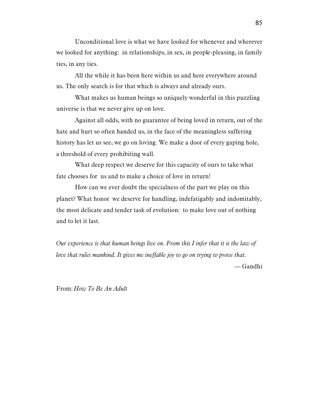Unconditional love is what we have looked for whenever and wherever we looked for anything: in relationships, in sex, in people-pleasing, in family ties, in any ties.

All the while it has been here within us and here everywhere around us. The only search is for that which is always and already ours.

What makes us human beings so uniquely wonderful in this puzzling universe is that we never give up on love.

Against all odds, with no guarantee of being loved in return, out of the hate and hurt so often handed us, in the face of the meaningless suffering history has let us see, we go on loving. We make a door of every gaping hole, a threshold of every prohibiting wall.

What deep respect we deserve for this capacity of ours to take what fate chooses for us and to make a choice of love in return!

How can we ever doubt the specialness of the part we play on this planet? What honor we deserve for handling, indefatigably and indomitably, the most delicate and tender task of evolution: to make love out of nothing and to let it last.

*Our experience is that human beings live on. From this I infer that it is the law of love that rules mankind. It gives me ineffable joy to go on trying to prove that.* — Gandhi

From: *How To Be An Adult*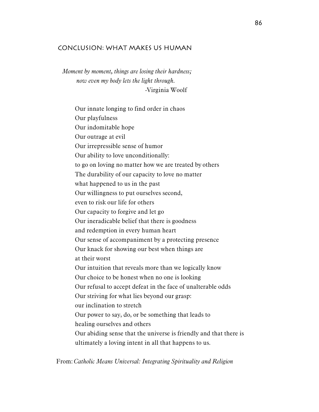### CONCLUSION: WHAT MAKES US HUMAN

*Moment by moment, things are losing their hardness; now even my body lets the light through. -*Virginia Woolf

Our innate longing to find order in chaos Our playfulness Our indomitable hope Our outrage at evil Our irrepressible sense of humor Our ability to love unconditionally: to go on loving no matter how we are treated by others The durability of our capacity to love no matter what happened to us in the past Our willingness to put ourselves second, even to risk our life for others Our capacity to forgive and let go Our ineradicable belief that there is goodness and redemption in every human heart Our sense of accompaniment by a protecting presence Our knack for showing our best when things are at their worst Our intuition that reveals more than we logically know Our choice to be honest when no one is looking Our refusal to accept defeat in the face of unalterable odds Our striving for what lies beyond our grasp: our inclination to stretch Our power to say, do, or be something that leads to healing ourselves and others Our abiding sense that the universe is friendly and that there is ultimately a loving intent in all that happens to us.

From: *Catholic Means Universal: Integrating Spirituality and Religion*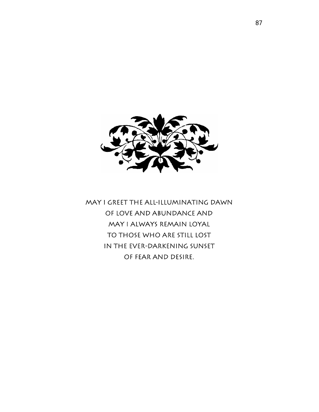

May I greet the all-illuminating dawn of love and abundance and may I always remain loyal to those who are still lost in the ever-darkening sunset of fear and desire.